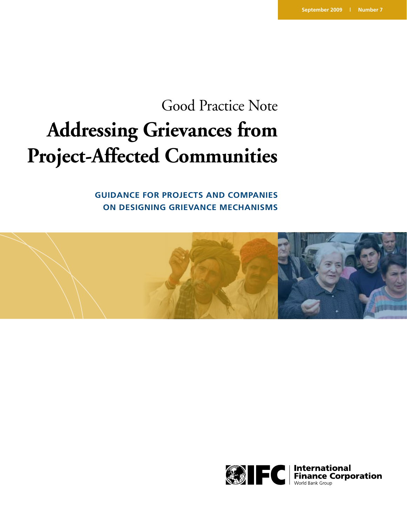# Good Practice Note **Addressing Grievances from Project-Affected Communities**

**Guidance for Projects and Companies on Designing Grievance Mechanisms**



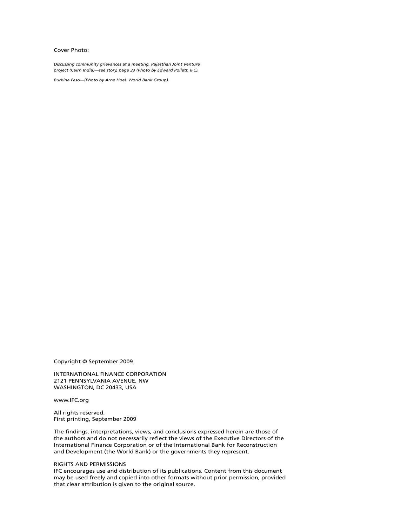#### Cover Photo:

*Discussing community grievances at a meeting, Rajasthan Joint Venture project (Cairn India)—see story, page 33 (Photo by Edward Pollett, IFC).*

*Burkina Faso—(Photo by Arne Hoel, World Bank Group).*

Copyright © September 2009

International Finance Corporation 2121 Pennsylvania Avenue, NW Washington, DC 20433, USA

www.IFC.org

All rights reserved. First printing, September 2009

The findings, interpretations, views, and conclusions expressed herein are those of the authors and do not necessarily reflect the views of the Executive Directors of the International Finance Corporation or of the International Bank for Reconstruction and Development (the World Bank) or the governments they represent.

#### Rights and Permissions

IFC encourages use and distribution of its publications. Content from this document may be used freely and copied into other formats without prior permission, provided that clear attribution is given to the original source.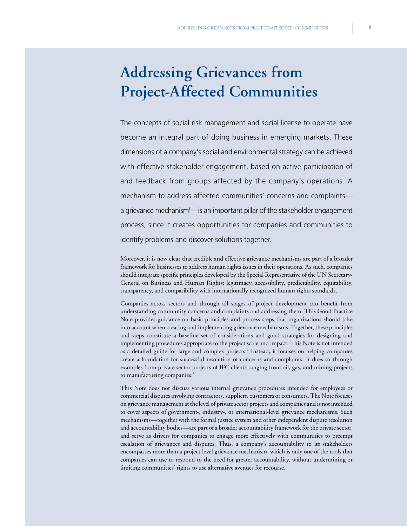# **Addressing Grievances from Project-Affected Communities**

The concepts of social risk management and social license to operate have become an integral part of doing business in emerging markets. These dimensions of a company's social and environmental strategy can be achieved with effective stakeholder engagement, based on active participation of and feedback from groups affected by the company's operations. A mechanism to address affected communities' concerns and complaints a grievance mechanism<sup>1</sup>—is an important pillar of the stakeholder engagement process, since it creates opportunities for companies and communities to identify problems and discover solutions together.

Moreover, it is now clear that credible and effective grievance mechanisms are part of a broader framework for businesses to address human rights issues in their operations. As such, companies should integrate specific principles developed by the Special Representative of the UN Secretary-General on Business and Human Rights: legitimacy, accessibility, predictability, equitability, transparency, and compatibility with internationally recognized human rights standards.

Companies across sectors and through all stages of project development can benefit from understanding community concerns and complaints and addressing them. This Good Practice Note provides guidance on basic principles and process steps that organizations should take into account when creating and implementing grievance mechanisms. Together, these principles and steps constitute a baseline set of considerations and good strategies for designing and implementing procedures appropriate to the project scale and impact. This Note is not intended as a detailed guide for large and complex projects.<sup>2</sup> Instead, it focuses on helping companies create a foundation for successful resolution of concerns and complaints. It does so through examples from private sector projects of IFC clients ranging from oil, gas, and mining projects to manufacturing companies.<sup>3</sup>

This Note does not discuss various internal grievance procedures intended for employees or commercial disputes involving contractors, suppliers, customers or consumers. The Note focuses on grievance management at the level of private sector projects and companies and is not intended to cover aspects of government-, industry-, or international-level grievance mechanisms. Such mechanisms—together with the formal justice system and other independent dispute resolution and accountability bodies—are part of a broader accountability framework for the private sector, and serve as drivers for companies to engage more effectively with communities to preempt escalation of grievances and disputes. Thus, a company's accountability to its stakeholders encompasses more than a project-level grievance mechanism, which is only one of the tools that companies can use to respond to the need for greater accountability, without undermining or limiting communities' rights to use alternative avenues for recourse.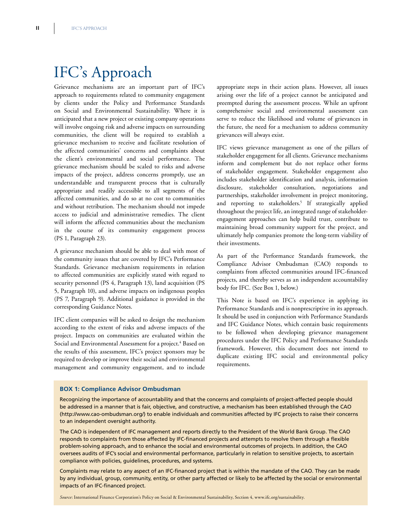# IFC's Approach

Grievance mechanisms are an important part of IFC's approach to requirements related to community engagement by clients under the Policy and Performance Standards on Social and Environmental Sustainability. Where it is anticipated that a new project or existing company operations will involve ongoing risk and adverse impacts on surrounding communities, the client will be required to establish a grievance mechanism to receive and facilitate resolution of the affected communities' concerns and complaints about the client's environmental and social performance. The grievance mechanism should be scaled to risks and adverse impacts of the project, address concerns promptly, use an understandable and transparent process that is culturally appropriate and readily accessible to all segments of the affected communities, and do so at no cost to communities and without retribution. The mechanism should not impede access to judicial and administrative remedies. The client will inform the affected communities about the mechanism in the course of its community engagement process (PS 1, Paragraph 23).

A grievance mechanism should be able to deal with most of the community issues that are covered by IFC's Performance Standards. Grievance mechanism requirements in relation to affected communities are explicitly stated with regard to security personnel (PS 4, Paragraph 13), land acquisition (PS 5, Paragraph 10), and adverse impacts on indigenous peoples (PS 7, Paragraph 9). Additional guidance is provided in the corresponding Guidance Notes.

IFC client companies will be asked to design the mechanism according to the extent of risks and adverse impacts of the project. Impacts on communities are evaluated within the Social and Environmental Assessment for a project.<sup>4</sup> Based on the results of this assessment, IFC's project sponsors may be required to develop or improve their social and environmental management and community engagement, and to include

appropriate steps in their action plans. However, all issues arising over the life of a project cannot be anticipated and preempted during the assessment process. While an upfront comprehensive social and environmental assessment can serve to reduce the likelihood and volume of grievances in the future, the need for a mechanism to address community grievances will always exist.

IFC views grievance management as one of the pillars of stakeholder engagement for all clients. Grievance mechanisms inform and complement but do not replace other forms of stakeholder engagement. Stakeholder engagement also includes stakeholder identification and analysis, information disclosure, stakeholder consultation, negotiations and partnerships, stakeholder involvement in project monitoring, and reporting to stakeholders.<sup>5</sup> If strategically applied throughout the project life, an integrated range of stakeholderengagement approaches can help build trust, contribute to maintaining broad community support for the project, and ultimately help companies promote the long-term viability of their investments.

As part of the Performance Standards framework, the Compliance Advisor Ombudsman (CAO) responds to complaints from affected communities around IFC-financed projects, and thereby serves as an independent accountability body for IFC. (See Box 1, below.)

This Note is based on IFC's experience in applying its Performance Standards and is nonprescriptive in its approach. It should be used in conjunction with Performance Standards and IFC Guidance Notes, which contain basic requirements to be followed when developing grievance management procedures under the IFC Policy and Performance Standards framework. However, this document does not intend to duplicate existing IFC social and environmental policy requirements.

#### **Box 1: Compliance Advisor Ombudsman**

Recognizing the importance of accountability and that the concerns and complaints of project-affected people should be addressed in a manner that is fair, objective, and constructive, a mechanism has been established through the CAO (http://www.cao-ombudsman.org/) to enable individuals and communities affected by IFC projects to raise their concerns to an independent oversight authority.

The CAO is independent of IFC management and reports directly to the President of the World Bank Group. The CAO responds to complaints from those affected by IFC-financed projects and attempts to resolve them through a flexible problem-solving approach, and to enhance the social and environmental outcomes of projects. In addition, the CAO oversees audits of IFC's social and environmental performance, particularly in relation to sensitive projects, to ascertain compliance with policies, guidelines, procedures, and systems.

Complaints may relate to any aspect of an IFC-financed project that is within the mandate of the CAO. They can be made by any individual, group, community, entity, or other party affected or likely to be affected by the social or environmental impacts of an IFC-financed project.

*Source*: International Finance Corporation's Policy on Social & Environmental Sustainability, Section 4, www.ifc.org/sustainability.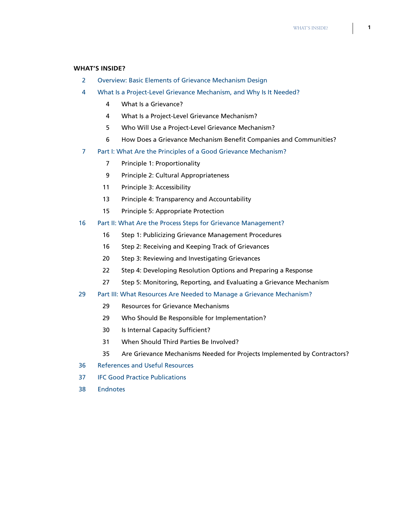## **What's Inside?**

- 2 Overview: Basic Elements of Grievance Mechanism Design
- What Is a Project-Level Grievance Mechanism, and Why Is It Needed?
	- What Is a Grievance?
	- What Is a Project-Level Grievance Mechanism?
	- Who Will Use a Project-Level Grievance Mechanism?
	- 6 How Does a Grievance Mechanism Benefit Companies and Communities?
- Part I: What Are the Principles of a Good Grievance Mechanism?
	- Principle 1: Proportionality
	- Principle 2: Cultural Appropriateness
	- Principle 3: Accessibility
	- Principle 4: Transparency and Accountability
	- Principle 5: Appropriate Protection

## 16 Part II: What Are the Process Steps for Grievance Management?

- Step 1: Publicizing Grievance Management Procedures
- Step 2: Receiving and Keeping Track of Grievances
- Step 3: Reviewing and Investigating Grievances
- Step 4: Developing Resolution Options and Preparing a Response
- 27 Step 5: Monitoring, Reporting, and Evaluating a Grievance Mechanism
- Part III: What Resources Are Needed to Manage a Grievance Mechanism?
	- 29 Resources for Grievance Mechanisms
	- Who Should Be Responsible for Implementation?
	- Is Internal Capacity Sufficient?
	- When Should Third Parties Be Involved?
	- 35 Are Grievance Mechanisms Needed for Projects Implemented by Contractors?
- 36 References and Useful Resources
- IFC Good Practice Publications
- 38 Endnotes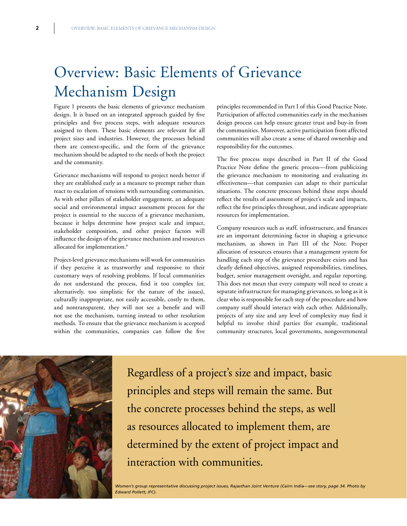# Overview: Basic Elements of Grievance Mechanism Design

Figure 1 presents the basic elements of grievance mechanism design. It is based on an integrated approach guided by five principles and five process steps, with adequate resources assigned to them. These basic elements are relevant for all project sizes and industries. However, the processes behind them are context-specific, and the form of the grievance mechanism should be adapted to the needs of both the project and the community.

Grievance mechanisms will respond to project needs better if they are established early as a measure to preempt rather than react to escalation of tensions with surrounding communities. As with other pillars of stakeholder engagement, an adequate social and environmental impact assessment process for the project is essential to the success of a grievance mechanism, because it helps determine how project scale and impact, stakeholder composition, and other project factors will influence the design of the grievance mechanism and resources allocated for implementation.<sup>6</sup>

Project-level grievance mechanisms will work for communities if they perceive it as trustworthy and responsive to their customary ways of resolving problems. If local communities do not understand the process, find it too complex (or, alternatively, too simplistic for the nature of the issues), culturally inappropriate, not easily accessible, costly to them, and nontransparent, they will not see a benefit and will not use the mechanism, turning instead to other resolution methods. To ensure that the grievance mechanism is accepted within the communities, companies can follow the five

principles recommended in Part I of this Good Practice Note. Participation of affected communities early in the mechanism design process can help ensure greater trust and buy-in from the communities. Moreover, active participation from affected communities will also create a sense of shared ownership and responsibility for the outcomes.

The five process steps described in Part II of the Good Practice Note define the generic process—from publicizing the grievance mechanism to monitoring and evaluating its effectiveness—that companies can adapt to their particular situations. The concrete processes behind these steps should reflect the results of assessment of project's scale and impacts, reflect the five principles throughout, and indicate appropriate resources for implementation.

Company resources such as staff, infrastructure, and finances are an important determining factor in shaping a grievance mechanism, as shown in Part III of the Note. Proper allocation of resources ensures that a management system for handling each step of the grievance procedure exists and has clearly defined objectives, assigned responsibilities, timelines, budget, senior management oversight, and regular reporting. This does not mean that every company will need to create a separate infrastructure for managing grievances, so long as it is clear who is responsible for each step of the procedure and how company staff should interact with each other. Additionally, projects of any size and any level of complexity may find it helpful to involve third parties (for example, traditional community structures, local governments, nongovernmental



Regardless of a project's size and impact, basic principles and steps will remain the same. But the concrete processes behind the steps, as well as resources allocated to implement them, are determined by the extent of project impact and interaction with communities.

*Women's group representative discussing project issues, Rajasthan Joint Venture (Cairn India—see story, page 34. Photo by Edward Pollett, IFC).*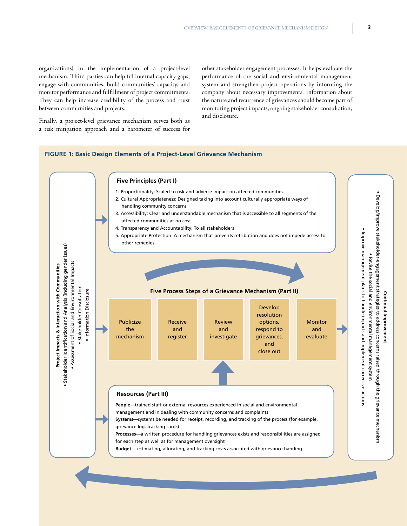other stakeholder engagement processes. It helps evaluate the performance of the social and environmental management system and strengthen project operations by informing the company about necessary improvements. Information about the nature and recurrence of grievances should become part of monitoring project impacts, ongoing stakeholder consultation, and disclosure.

#### **Figure 1: Basic Design Elements of a Project-Level Grievance Mechanism**

monitor performance and fulfillment of project commitments. They can help increase credibility of the process and trust

Finally, a project-level grievance mechanism serves both as a risk mitigation approach and a barometer of success for

between communities and projects.

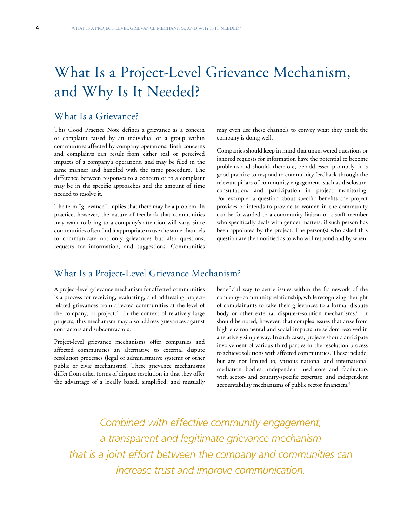# What Is a Project-Level Grievance Mechanism, and Why Is It Needed?

# What Is a Grievance?

This Good Practice Note defines a grievance as a concern or complaint raised by an individual or a group within communities affected by company operations. Both concerns and complaints can result from either real or perceived impacts of a company's operations, and may be filed in the same manner and handled with the same procedure. The difference between responses to a concern or to a complaint may be in the specific approaches and the amount of time needed to resolve it.

The term "grievance" implies that there may be a problem. In practice, however, the nature of feedback that communities may want to bring to a company's attention will vary, since communities often find it appropriate to use the same channels to communicate not only grievances but also questions, requests for information, and suggestions. Communities may even use these channels to convey what they think the company is doing well.

Companies should keep in mind that unanswered questions or ignored requests for information have the potential to become problems and should, therefore, be addressed promptly. It is good practice to respond to community feedback through the relevant pillars of community engagement, such as disclosure, consultation, and participation in project monitoring. For example, a question about specific benefits the project provides or intends to provide to women in the community can be forwarded to a community liaison or a staff member who specifically deals with gender matters, if such person has been appointed by the project. The person(s) who asked this question are then notified as to who will respond and by when.

# What Is a Project-Level Grievance Mechanism?

A project-level grievance mechanism for affected communities is a process for receiving, evaluating, and addressing projectrelated grievances from affected communities at the level of the company, or project.<sup>7</sup> In the context of relatively large projects, this mechanism may also address grievances against contractors and subcontractors.

Project-level grievance mechanisms offer companies and affected communities an alternative to external dispute resolution processes (legal or administrative systems or other public or civic mechanisms). These grievance mechanisms differ from other forms of dispute resolution in that they offer the advantage of a locally based, simplified, and mutually beneficial way to settle issues within the framework of the company–community relationship, while recognizing the right of complainants to take their grievances to a formal dispute body or other external dispute-resolution mechanisms.<sup>8</sup> It should be noted, however, that complex issues that arise from high environmental and social impacts are seldom resolved in a relatively simple way. In such cases, projects should anticipate involvement of various third parties in the resolution process to achieve solutions with affected communities. These include, but are not limited to, various national and international mediation bodies, independent mediators and facilitators with sector- and country-specific expertise, and independent accountability mechanisms of public sector financiers.<sup>9</sup>

*Combined with effective community engagement, a transparent and legitimate grievance mechanism that is a joint effort between the company and communities can increase trust and improve communication.*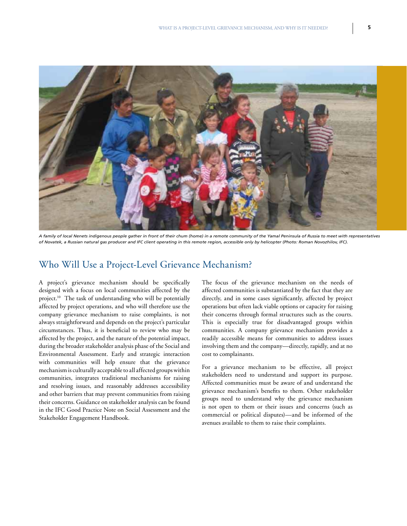

*A family of local Nenets indigenous people gather in front of their chum (home) in a remote community of the Yamal Peninsula of Russia to meet with representatives of Novatek, a Russian natural gas producer and IFC client operating in this remote region, accessible only by helicopter (Photo: Roman Novozhilov, IFC).*

# Who Will Use a Project-Level Grievance Mechanism?

A project's grievance mechanism should be specifically designed with a focus on local communities affected by the project.<sup>10</sup> The task of understanding who will be potentially affected by project operations, and who will therefore use the company grievance mechanism to raise complaints, is not always straightforward and depends on the project's particular circumstances. Thus, it is beneficial to review who may be affected by the project, and the nature of the potential impact, during the broader stakeholder analysis phase of the Social and Environmental Assessment. Early and strategic interaction with communities will help ensure that the grievance mechanism is culturally acceptable to all affected groups within communities, integrates traditional mechanisms for raising and resolving issues, and reasonably addresses accessibility and other barriers that may prevent communities from raising their concerns. Guidance on stakeholder analysis can be found in the IFC Good Practice Note on Social Assessment and the Stakeholder Engagement Handbook.

The focus of the grievance mechanism on the needs of affected communities is substantiated by the fact that they are directly, and in some cases significantly, affected by project operations but often lack viable options or capacity for raising their concerns through formal structures such as the courts. This is especially true for disadvantaged groups within communities. A company grievance mechanism provides a readily accessible means for communities to address issues involving them and the company—directly, rapidly, and at no cost to complainants.

For a grievance mechanism to be effective, all project stakeholders need to understand and support its purpose. Affected communities must be aware of and understand the grievance mechanism's benefits to them. Other stakeholder groups need to understand why the grievance mechanism is not open to them or their issues and concerns (such as commercial or political disputes)—and be informed of the avenues available to them to raise their complaints.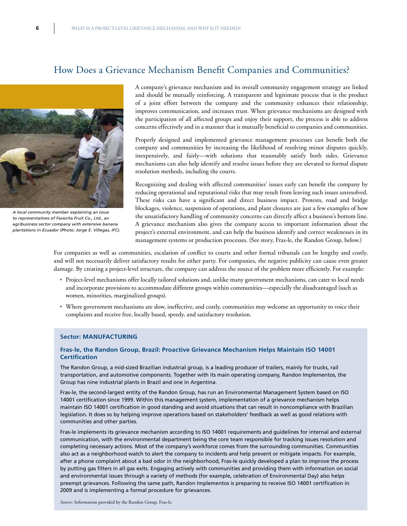# How Does a Grievance Mechanism Benefit Companies and Communities?



*A local community member explaining an issue to representatives of Favorita Fruit Co., Ltd., an agribusiness sector company with extensive banana plantations in Ecuador (Photo: Jorge E. Villegas, IFC).*

A company's grievance mechanism and its overall community engagement strategy are linked and should be mutually reinforcing. A transparent and legitimate process that is the product of a joint effort between the company and the community enhances their relationship, improves communication, and increases trust. When grievance mechanisms are designed with the participation of all affected groups and enjoy their support, the process is able to address concerns effectively and in a manner that is mutually beneficial to companies and communities.

Properly designed and implemented grievance management processes can benefit both the company and communities by increasing the likelihood of resolving minor disputes quickly, inexpensively, and fairly—with solutions that reasonably satisfy both sides. Grievance mechanisms can also help identify and resolve issues before they are elevated to formal dispute resolution methods, including the courts.

Recognizing and dealing with affected communities' issues early can benefit the company by reducing operational and reputational risks that may result from leaving such issues unresolved. These risks can have a significant and direct business impact. Protests, road and bridge blockages, violence, suspension of operations, and plant closures are just a few examples of how the unsatisfactory handling of community concerns can directly affect a business's bottom line. A grievance mechanism also gives the company access to important information about the project's external environment, and can help the business identify and correct weaknesses in its management systems or production processes. (See story, Fras-le, the Randon Group, below.)

For companies as well as communities, escalation of conflict to courts and other formal tribunals can be lengthy and costly, and will not necessarily deliver satisfactory results for either party. For companies, the negative publicity can cause even greater damage. By creating a project-level structure, the company can address the source of the problem more efficiently. For example:

- • Project-level mechanisms offer locally tailored solutions and, unlike many government mechanisms, can cater to local needs and incorporate provisions to accommodate different groups within communities—especially the disadvantaged (such as women, minorities, marginalized groups).
- • Where government mechanisms are slow, ineffective, and costly, communities may welcome an opportunity to voice their complaints and receive free, locally based, speedy, and satisfactory resolution.

## **Sector: MANUFACTURING**

## **Fras-le, the Randon Group, Brazil: Proactive Grievance Mechanism Helps Maintain ISO 14001 Certification**

The Randon Group, a mid-sized Brazilian industrial group, is a leading producer of trailers, mainly for trucks, rail transportation, and automotive components. Together with its main operating company, Randon Implementos, the Group has nine industrial plants in Brazil and one in Argentina.

Fras-le, the second-largest entity of the Randon Group, has run an Environmental Management System based on ISO 14001 certification since 1999. Within this management system, implementation of a grievance mechanism helps maintain ISO 14001 certification in good standing and avoid situations that can result in noncompliance with Brazilian legislation. It does so by helping improve operations based on stakeholders' feedback as well as good relations with communities and other parties.

Fras-le implements its grievance mechanism according to ISO 14001 requirements and guidelines for internal and external communication, with the environmental department being the core team responsible for tracking issues resolution and completing necessary actions. Most of the company's workforce comes from the surrounding communities. Communities also act as a neighborhood watch to alert the company to incidents and help prevent or mitigate impacts. For example, after a phone complaint about a bad odor in the neighborhood, Fras-le quickly developed a plan to improve the process by putting gas filters in all gas exits. Engaging actively with communities and providing them with information on social and environmental issues through a variety of methods (for example, celebration of Environmental Day) also helps preempt grievances. Following the same path, Randon Implementos is preparing to receive ISO 14001 certification in 2009 and is implementing a formal procedure for grievances.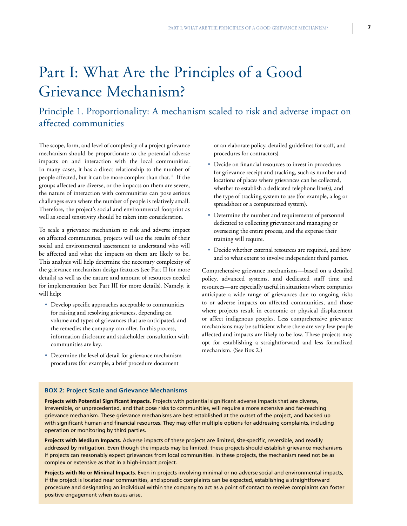# Part I: What Are the Principles of a Good Grievance Mechanism?

Principle 1. Proportionality: A mechanism scaled to risk and adverse impact on affected communities

The scope, form, and level of complexity of a project grievance mechanism should be proportionate to the potential adverse impacts on and interaction with the local communities. In many cases, it has a direct relationship to the number of people affected, but it can be more complex than that.<sup>11</sup> If the groups affected are diverse, or the impacts on them are severe, the nature of interaction with communities can pose serious challenges even where the number of people is relatively small. Therefore, the project's social and environmental footprint as well as social sensitivity should be taken into consideration.

To scale a grievance mechanism to risk and adverse impact on affected communities, projects will use the results of their social and environmental assessment to understand who will be affected and what the impacts on them are likely to be. This analysis will help determine the necessary complexity of the grievance mechanism design features (see Part II for more details) as well as the nature and amount of resources needed for implementation (see Part III for more details). Namely, it will help:

- Develop specific approaches acceptable to communities for raising and resolving grievances, depending on volume and types of grievances that are anticipated, and the remedies the company can offer. In this process, information disclosure and stakeholder consultation with communities are key.
- Determine the level of detail for grievance mechanism procedures (for example, a brief procedure document

or an elaborate policy, detailed guidelines for staff, and procedures for contractors).

- Decide on financial resources to invest in procedures for grievance receipt and tracking, such as number and locations of places where grievances can be collected, whether to establish a dedicated telephone line(s), and the type of tracking system to use (for example, a log or spreadsheet or a computerized system).
- Determine the number and requirements of personnel dedicated to collecting grievances and managing or overseeing the entire process, and the expense their training will require.
- Decide whether external resources are required, and how and to what extent to involve independent third parties.

Comprehensive grievance mechanisms—based on a detailed policy, advanced systems, and dedicated staff time and resources—are especially useful in situations where companies anticipate a wide range of grievances due to ongoing risks to or adverse impacts on affected communities, and those where projects result in economic or physical displacement or affect indigenous peoples. Less comprehensive grievance mechanisms may be sufficient where there are very few people affected and impacts are likely to be low. These projects may opt for establishing a straightforward and less formalized mechanism. (See Box 2.)

#### **Box 2: Project Scale and Grievance Mechanisms**

**Projects with Potential Significant Impacts.** Projects with potential significant adverse impacts that are diverse, irreversible, or unprecedented, and that pose risks to communities, will require a more extensive and far-reaching grievance mechanism. These grievance mechanisms are best established at the outset of the project, and backed up with significant human and financial resources. They may offer multiple options for addressing complaints, including operation or monitoring by third parties.

**Projects with Medium Impacts.** Adverse impacts of these projects are limited, site-specific, reversible, and readily addressed by mitigation. Even though the impacts may be limited, these projects should establish grievance mechanisms if projects can reasonably expect grievances from local communities. In these projects, the mechanism need not be as complex or extensive as that in a high-impact project.

**Projects with No or Minimal Impacts.** Even in projects involving minimal or no adverse social and environmental impacts, if the project is located near communities, and sporadic complaints can be expected, establishing a straightforward procedure and designating an individual within the company to act as a point of contact to receive complaints can foster positive engagement when issues arise.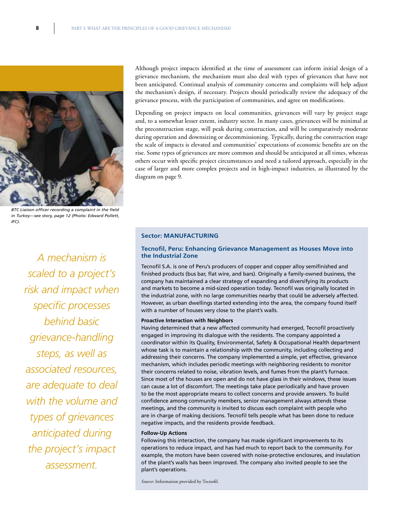

*BTC Liaison officer recording a complaint in the field in Turkey—see story, page 12 (Photo: Edward Pollett, IFC).*

*A mechanism is scaled to a project's risk and impact when specific processes behind basic grievance-handling steps, as well as associated resources, are adequate to deal with the volume and types of grievances anticipated during the project's impact assessment.*

Although project impacts identified at the time of assessment can inform initial design of a grievance mechanism, the mechanism must also deal with types of grievances that have not been anticipated. Continual analysis of community concerns and complaints will help adjust the mechanism's design, if necessary. Projects should periodically review the adequacy of the grievance process, with the participation of communities, and agree on modifications.

Depending on project impacts on local communities, grievances will vary by project stage and, to a somewhat lesser extent, industry sector. In many cases, grievances will be minimal at the preconstruction stage, will peak during construction, and will be comparatively moderate during operation and downsizing or decommissioning. Typically, during the construction stage the scale of impacts is elevated and communities' expectations of economic benefits are on the rise. Some types of grievances are more common and should be anticipated at all times, whereas others occur with specific project circumstances and need a tailored approach, especially in the case of larger and more complex projects and in high-impact industries, as illustrated by the diagram on page 9.

#### **Sector: MANUFACTURING**

### **Tecnofil, Peru: Enhancing Grievance Management as Houses Move into the Industrial Zone**

Tecnofil S.A. is one of Peru's producers of copper and copper alloy semifinished and finished products (bus bar, flat wire, and bars). Originally a family-owned business, the company has maintained a clear strategy of expanding and diversifying its products and markets to become a mid-sized operation today. Tecnofil was originally located in the industrial zone, with no large communities nearby that could be adversely affected. However, as urban dwellings started extending into the area, the company found itself with a number of houses very close to the plant's walls.

#### **Proactive Interaction with Neighbors**

Having determined that a new affected community had emerged, Tecnofil proactively engaged in improving its dialogue with the residents. The company appointed a coordinator within its Quality, Environmental, Safety & Occupational Health department whose task is to maintain a relationship with the community, including collecting and addressing their concerns. The company implemented a simple, yet effective, grievance mechanism, which includes periodic meetings with neighboring residents to monitor their concerns related to noise, vibration levels, and fumes from the plant's furnace. Since most of the houses are open and do not have glass in their windows, these issues can cause a lot of discomfort. The meetings take place periodically and have proven to be the most appropriate means to collect concerns and provide answers. To build confidence among community members, senior management always attends these meetings, and the community is invited to discuss each complaint with people who are in charge of making decisions. Tecnofil tells people what has been done to reduce negative impacts, and the residents provide feedback.

#### **Follow-Up Actions**

Following this interaction, the company has made significant improvements to its operations to reduce impact, and has had much to report back to the community. For example, the motors have been covered with noise-protective enclosures, and insulation of the plant's walls has been improved. The company also invited people to see the plant's operations.

*Source*: Information provided by Tecnofil.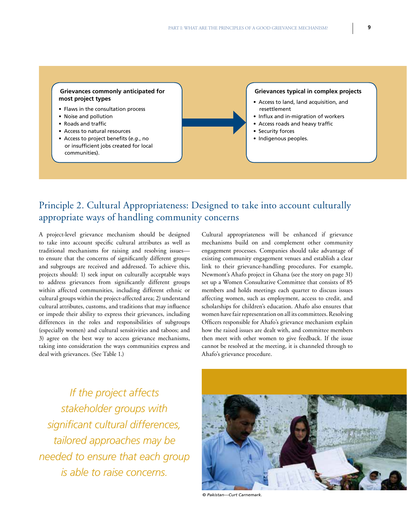## **Grievances commonly anticipated for most project types**

- Flaws in the consultation process
- Noise and pollution
- Roads and traffic
- Access to natural resources
- Access to project benefits (*e.g.*, no or insufficient jobs created for local communities).

# **Grievances typical in complex projects**

- Access to land, land acquisition, and resettlement
- Influx and in-migration of workers
- Access roads and heavy traffic
- Security forces
- Indigenous peoples.

# Principle 2. Cultural Appropriateness: Designed to take into account culturally appropriate ways of handling community concerns

A project-level grievance mechanism should be designed to take into account specific cultural attributes as well as traditional mechanisms for raising and resolving issues to ensure that the concerns of significantly different groups and subgroups are received and addressed. To achieve this, projects should: 1) seek input on culturally acceptable ways to address grievances from significantly different groups within affected communities, including different ethnic or cultural groups within the project-affected area; 2) understand cultural attributes, customs, and traditions that may influence or impede their ability to express their grievances, including differences in the roles and responsibilities of subgroups (especially women) and cultural sensitivities and taboos; and 3) agree on the best way to access grievance mechanisms, taking into consideration the ways communities express and deal with grievances. (See Table 1.)

Cultural appropriateness will be enhanced if grievance mechanisms build on and complement other community engagement processes. Companies should take advantage of existing community engagement venues and establish a clear link to their grievance-handling procedures. For example, Newmont's Ahafo project in Ghana (see the story on page 31) set up a Women Consultative Committee that consists of 85 members and holds meetings each quarter to discuss issues affecting women, such as employment, access to credit, and scholarships for children's education. Ahafo also ensures that women have fair representation on all its committees. Resolving Officers responsible for Ahafo's grievance mechanism explain how the raised issues are dealt with, and committee members then meet with other women to give feedback. If the issue cannot be resolved at the meeting, it is channeled through to Ahafo's grievance procedure.

*If the project affects stakeholder groups with significant cultural differences, tailored approaches may be needed to ensure that each group is able to raise concerns.*



*© Pakistan—Curt Carnemark.*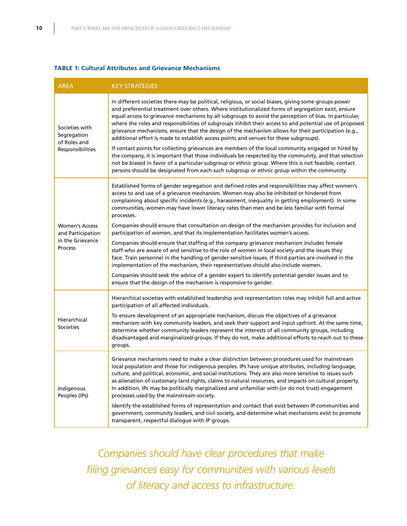#### **Table 1: Cultural Attributes and Grievance Mechanisms**

| <b>AREA</b>                                                               | <b>KEY STRATEGIES</b>                                                                                                                                                                                                                                                                                                                                                                                                                                                                                                                                                                                                                                                                                                                                                                                                                                                                                                                                                                                                                                                                                                                                                    |
|---------------------------------------------------------------------------|--------------------------------------------------------------------------------------------------------------------------------------------------------------------------------------------------------------------------------------------------------------------------------------------------------------------------------------------------------------------------------------------------------------------------------------------------------------------------------------------------------------------------------------------------------------------------------------------------------------------------------------------------------------------------------------------------------------------------------------------------------------------------------------------------------------------------------------------------------------------------------------------------------------------------------------------------------------------------------------------------------------------------------------------------------------------------------------------------------------------------------------------------------------------------|
| Societies with<br>Segregation<br>of Roles and<br>Responsibilities         | In different societies there may be political, religious, or social biases, giving some groups power<br>and preferential treatment over others. Where institutionalized forms of segregation exist, ensure<br>equal access to grievance mechanisms by all subgroups to avoid the perception of bias. In particular,<br>where the roles and responsibilities of subgroups inhibit their access to and potential use of proposed<br>grievance mechanisms, ensure that the design of the mechanism allows for their participation (e.g.,<br>additional effort is made to establish access points and venues for these subgroups).<br>If contact points for collecting grievances are members of the local community engaged or hired by<br>the company, it is important that those individuals be respected by the community, and that selection<br>not be biased in favor of a particular subgroup or ethnic group. Where this is not feasible, contact<br>persons should be designated from each such subgroup or ethnic group within the community.                                                                                                                      |
| <b>Women's Access</b><br>and Participation<br>in the Grievance<br>Process | Established forms of gender segregation and defined roles and responsibilities may affect women's<br>access to and use of a grievance mechanism. Women may also be inhibited or hindered from<br>complaining about specific incidents (e.g., harassment, inequality in getting employment). In some<br>communities, women may have lower literacy rates than men and be less familiar with formal<br>processes.<br>Companies should ensure that consultation on design of the mechanism provides for inclusion and<br>participation of women, and that its implementation facilitates women's access.<br>Companies should ensure that staffing of the company grievance mechanism includes female<br>staff who are aware of and sensitive to the role of women in local society and the issues they<br>face. Train personnel in the handling of gender-sensitive issues. If third parties are involved in the<br>implementation of the mechanism, their representatives should also include women.<br>Companies should seek the advice of a gender expert to identify potential gender issues and to<br>ensure that the design of the mechanism is responsive to gender. |
| Hierarchical<br>Societies                                                 | Hierarchical societies with established leadership and representation roles may inhibit full and active<br>participation of all affected individuals.<br>To ensure development of an appropriate mechanism, discuss the objectives of a grievance<br>mechanism with key community leaders, and seek their support and input upfront. At the same time,<br>determine whether community leaders represent the interests of all community groups, including<br>disadvantaged and marginalized groups. If they do not, make additional efforts to reach out to these<br>groups.                                                                                                                                                                                                                                                                                                                                                                                                                                                                                                                                                                                              |
| Indigenous<br>Peoples (IPs)                                               | Grievance mechanisms need to make a clear distinction between procedures used for mainstream<br>local population and those for indigenous peoples. IPs have unique attributes, including language,<br>culture, and political, economic, and social institutions. They are also more sensitive to issues such<br>as alienation of customary land rights, claims to natural resources, and impacts on cultural property.<br>In addition, IPs may be politically marginalized and unfamiliar with (or do not trust) engagement<br>processes used by the mainstream society.<br>Identify the established forms of representation and contact that exist between IP communities and<br>government, community leaders, and civil society, and determine what mechanisms exist to promote<br>transparent, respectful dialogue with IP groups.                                                                                                                                                                                                                                                                                                                                   |

*Companies should have clear procedures that make filing grievances easy for communities with various levels of literacy and access to infrastructure.*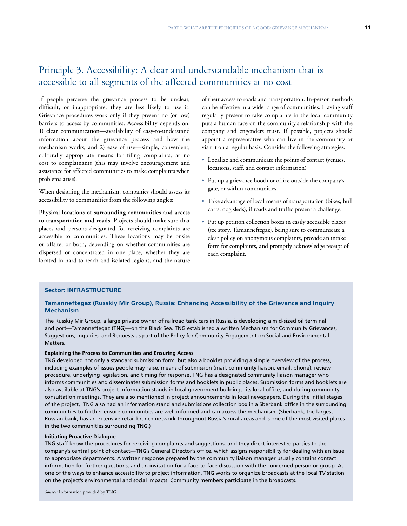# Principle 3. Accessibility: A clear and understandable mechanism that is accessible to all segments of the affected communities at no cost

If people perceive the grievance process to be unclear, difficult, or inappropriate, they are less likely to use it. Grievance procedures work only if they present no (or low) barriers to access by communities. Accessibility depends on: 1) clear communication—availability of easy-to-understand information about the grievance process and how the mechanism works; and 2) ease of use—simple, convenient, culturally appropriate means for filing complaints, at no cost to complainants (this may involve encouragement and assistance for affected communities to make complaints when problems arise).

When designing the mechanism, companies should assess its accessibility to communities from the following angles:

**Physical locations of surrounding communities and access to transportation and roads.** Projects should make sure that places and persons designated for receiving complaints are accessible to communities. These locations may be onsite or offsite, or both, depending on whether communities are dispersed or concentrated in one place, whether they are located in hard-to-reach and isolated regions, and the nature

of their access to roads and transportation. In-person methods can be effective in a wide range of communities. Having staff regularly present to take complaints in the local community puts a human face on the community's relationship with the company and engenders trust. If possible, projects should appoint a representative who can live in the community or visit it on a regular basis. Consider the following strategies:

- • Localize and communicate the points of contact (venues, locations, staff, and contact information).
- • Put up a grievance booth or office outside the company's gate, or within communities.
- • Take advantage of local means of transportation (bikes, bull carts, dog sleds), if roads and traffic present a challenge.
- Put up petition collection boxes in easily accessible places (see story, Tamanneftegaz), being sure to communicate a clear policy on anonymous complaints, provide an intake form for complaints, and promptly acknowledge receipt of each complaint.

#### **Sector: INFRASTRUCTURE**

## **Tamanneftegaz (Russkiy Mir Group), Russia: Enhancing Accessibility of the Grievance and Inquiry Mechanism**

The Russkiy Mir Group, a large private owner of railroad tank cars in Russia, is developing a mid-sized oil terminal and port—Tamanneftegaz (TNG)—on the Black Sea. TNG established a written Mechanism for Community Grievances, Suggestions, Inquiries, and Requests as part of the Policy for Community Engagement on Social and Environmental Matters.

#### **Explaining the Process to Communities and Ensuring Access**

TNG developed not only a standard submission form, but also a booklet providing a simple overview of the process, including examples of issues people may raise, means of submission (mail, community liaison, email, phone), review procedure, underlying legislation, and timing for response. TNG has a designated community liaison manager who informs communities and disseminates submission forms and booklets in public places. Submission forms and booklets are also available at TNG's project information stands in local government buildings, its local office, and during community consultation meetings. They are also mentioned in project announcements in local newspapers. During the initial stages of the project, TNG also had an information stand and submissions collection box in a Sberbank office in the surrounding communities to further ensure communities are well informed and can access the mechanism. (Sberbank, the largest Russian bank, has an extensive retail branch network throughout Russia's rural areas and is one of the most visited places in the two communities surrounding TNG.)

#### **Initiating Proactive Dialogue**

TNG staff know the procedures for receiving complaints and suggestions, and they direct interested parties to the company's central point of contact—TNG's General Director's office, which assigns responsibility for dealing with an issue to appropriate departments. A written response prepared by the community liaison manager usually contains contact information for further questions, and an invitation for a face-to-face discussion with the concerned person or group. As one of the ways to enhance accessibility to project information, TNG works to organize broadcasts at the local TV station on the project's environmental and social impacts. Community members participate in the broadcasts.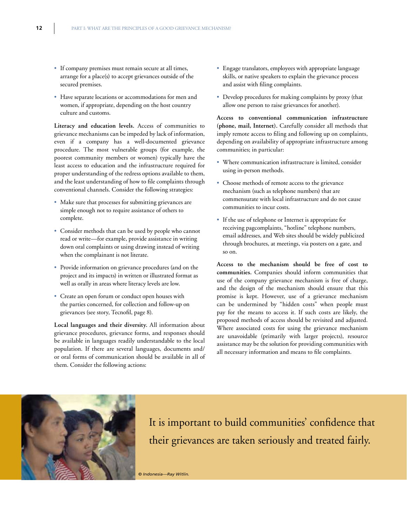- If company premises must remain secure at all times, arrange for a place(s) to accept grievances outside of the secured premises.
- • Have separate locations or accommodations for men and women, if appropriate, depending on the host country culture and customs.

**Literacy and education levels.** Access of communities to grievance mechanisms can be impeded by lack of information, even if a company has a well-documented grievance procedure. The most vulnerable groups (for example, the poorest community members or women) typically have the least access to education and the infrastructure required for proper understanding of the redress options available to them, and the least understanding of how to file complaints through conventional channels. Consider the following strategies:

- Make sure that processes for submitting grievances are simple enough not to require assistance of others to complete.
- Consider methods that can be used by people who cannot read or write—for example, provide assistance in writing down oral complaints or using drawing instead of writing when the complainant is not literate.
- Provide information on grievance procedures (and on the project and its impacts) in written or illustrated format as well as orally in areas where literacy levels are low.
- • Create an open forum or conduct open houses with the parties concerned, for collection and follow-up on grievances (see story, Tecnofil, page 8).

**Local languages and their diversity.** All information about grievance procedures, grievance forms, and responses should be available in languages readily understandable to the local population. If there are several languages, documents and/ or oral forms of communication should be available in all of them. Consider the following actions:

- • Engage translators, employees with appropriate language skills, or native speakers to explain the grievance process and assist with filing complaints.
- • Develop procedures for making complaints by proxy (that allow one person to raise grievances for another).

**Access to conventional communication infrastructure (phone, mail, Internet).** Carefully consider all methods that imply remote access to filing and following up on complaints, depending on availability of appropriate infrastructure among communities; in particular:

- • Where communication infrastructure is limited, consider using in-person methods.
- Choose methods of remote access to the grievance mechanism (such as telephone numbers) that are commensurate with local infrastructure and do not cause communities to incur costs.
- If the use of telephone or Internet is appropriate for receiving pagcomplaints, "hotline" telephone numbers, email addresses, and Web sites should be widely publicized through brochures, at meetings, via posters on a gate, and so on.

**Access to the mechanism should be free of cost to communities.** Companies should inform communities that use of the company grievance mechanism is free of charge, and the design of the mechanism should ensure that this promise is kept. However, use of a grievance mechanism can be undermined by "hidden costs" when people must pay for the means to access it. If such costs are likely, the proposed methods of access should be revisited and adjusted. Where associated costs for using the grievance mechanism are unavoidable (primarily with larger projects), resource assistance may be the solution for providing communities with all necessary information and means to file complaints.

It is important to build communities' confidence that their grievances are taken seriously and treated fairly.

*© Indonesia—Ray Witlin.*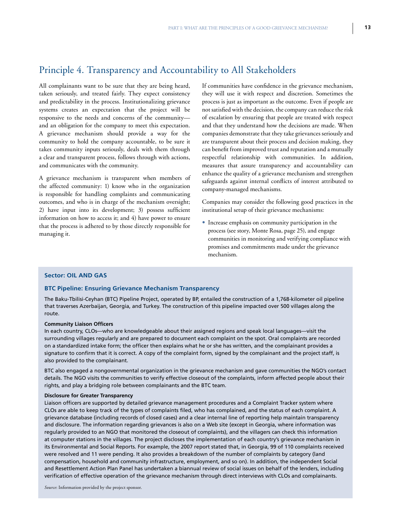# Principle 4. Transparency and Accountability to All Stakeholders

All complainants want to be sure that they are being heard, taken seriously, and treated fairly. They expect consistency and predictability in the process. Institutionalizing grievance systems creates an expectation that the project will be responsive to the needs and concerns of the community and an obligation for the company to meet this expectation. A grievance mechanism should provide a way for the community to hold the company accountable, to be sure it takes community inputs seriously, deals with them through a clear and transparent process, follows through with actions, and communicates with the community.

A grievance mechanism is transparent when members of the affected community: 1) know who in the organization is responsible for handling complaints and communicating outcomes, and who is in charge of the mechanism oversight; 2) have input into its development; 3) possess sufficient information on how to access it; and 4) have power to ensure that the process is adhered to by those directly responsible for managing it.

If communities have confidence in the grievance mechanism, they will use it with respect and discretion. Sometimes the process is just as important as the outcome. Even if people are not satisfied with the decision, the company can reduce the risk of escalation by ensuring that people are treated with respect and that they understand how the decisions are made. When companies demonstrate that they take grievances seriously and are transparent about their process and decision making, they can benefit from improved trust and reputation and a mutually respectful relationship with communities. In addition, measures that assure transparency and accountability can enhance the quality of a grievance mechanism and strengthen safeguards against internal conflicts of interest attributed to company-managed mechanisms.

Companies may consider the following good practices in the institutional setup of their grievance mechanisms:

• Increase emphasis on community participation in the process (see story, Monte Rosa, page 25), and engage communities in monitoring and verifying compliance with promises and commitments made under the grievance mechanism.

### **Sector: OIL AND GAS**

#### **BTC Pipeline: Ensuring Grievance Mechanism Transparency**

The Baku-Tbilisi-Ceyhan (BTC) Pipeline Project, operated by BP, entailed the construction of a 1,768-kilometer oil pipeline that traverses Azerbaijan, Georgia, and Turkey. The construction of this pipeline impacted over 500 villages along the route.

#### **Community Liaison Officers**

In each country, CLOs—who are knowledgeable about their assigned regions and speak local languages—visit the surrounding villages regularly and are prepared to document each complaint on the spot. Oral complaints are recorded on a standardized intake form; the officer then explains what he or she has written, and the complainant provides a signature to confirm that it is correct. A copy of the complaint form, signed by the complainant and the project staff, is also provided to the complainant.

BTC also engaged a nongovernmental organization in the grievance mechanism and gave communities the NGO's contact details. The NGO visits the communities to verify effective closeout of the complaints, inform affected people about their rights, and play a bridging role between complainants and the BTC team.

#### **Disclosure for Greater Transparency**

Liaison officers are supported by detailed grievance management procedures and a Complaint Tracker system where CLOs are able to keep track of the types of complaints filed, who has complained, and the status of each complaint. A grievance database (including records of closed cases) and a clear internal line of reporting help maintain transparency and disclosure. The information regarding grievances is also on a Web site (except in Georgia, where information was regularly provided to an NGO that monitored the closeout of complaints), and the villagers can check this information at computer stations in the villages. The project discloses the implementation of each country's grievance mechanism in its Environmental and Social Reports. For example, the 2007 report stated that, in Georgia, 99 of 110 complaints received were resolved and 11 were pending. It also provides a breakdown of the number of complaints by category (land compensation, household and community infrastructure, employment, and so on). In addition, the independent Social and Resettlement Action Plan Panel has undertaken a biannual review of social issues on behalf of the lenders, including verification of effective operation of the grievance mechanism through direct interviews with CLOs and complainants.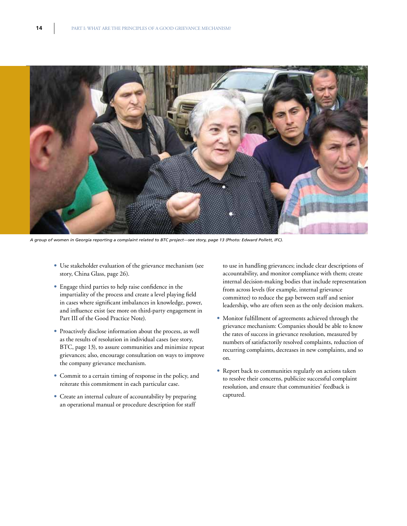

*A group of women in Georgia reporting a complaint related to BTC project—see story, page 13 (Photo: Edward Pollett, IFC).*

- Use stakeholder evaluation of the grievance mechanism (see story, China Glass, page 26).
- Engage third parties to help raise confidence in the impartiality of the process and create a level playing field in cases where significant imbalances in knowledge, power, and influence exist (see more on third-party engagement in Part III of the Good Practice Note).
- Proactively disclose information about the process, as well as the results of resolution in individual cases (see story, BTC, page 13), to assure communities and minimize repeat grievances; also, encourage consultation on ways to improve the company grievance mechanism.
- Commit to a certain timing of response in the policy, and reiterate this commitment in each particular case.
- Create an internal culture of accountability by preparing an operational manual or procedure description for staff

to use in handling grievances; include clear descriptions of accountability, and monitor compliance with them; create internal decision-making bodies that include representation from across levels (for example, internal grievance committee) to reduce the gap between staff and senior leadership, who are often seen as the only decision makers.

- Monitor fulfillment of agreements achieved through the grievance mechanism: Companies should be able to know the rates of success in grievance resolution, measured by numbers of satisfactorily resolved complaints, reduction of recurring complaints, decreases in new complaints, and so on.
- Report back to communities regularly on actions taken to resolve their concerns, publicize successful complaint resolution, and ensure that communities' feedback is captured.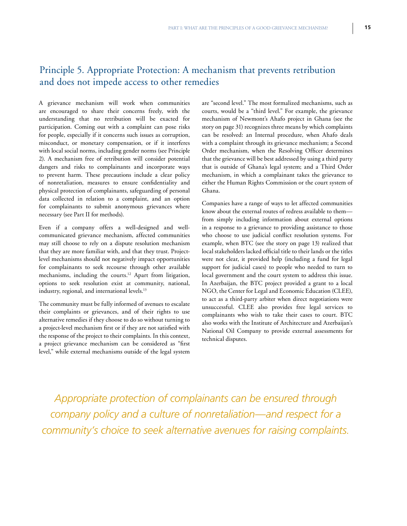# Principle 5. Appropriate Protection: A mechanism that prevents retribution and does not impede access to other remedies

A grievance mechanism will work when communities are encouraged to share their concerns freely, with the understanding that no retribution will be exacted for participation. Coming out with a complaint can pose risks for people, especially if it concerns such issues as corruption, misconduct, or monetary compensation, or if it interferes with local social norms, including gender norms (see Principle 2). A mechanism free of retribution will consider potential dangers and risks to complainants and incorporate ways to prevent harm. These precautions include a clear policy of nonretaliation, measures to ensure confidentiality and physical protection of complainants, safeguarding of personal data collected in relation to a complaint, and an option for complainants to submit anonymous grievances where necessary (see Part II for methods).

Even if a company offers a well-designed and wellcommunicated grievance mechanism, affected communities may still choose to rely on a dispute resolution mechanism that they are more familiar with, and that they trust. Projectlevel mechanisms should not negatively impact opportunities for complainants to seek recourse through other available mechanisms, including the courts.<sup>12</sup> Apart from litigation, options to seek resolution exist at community, national, industry, regional, and international levels.<sup>13</sup>

The community must be fully informed of avenues to escalate their complaints or grievances, and of their rights to use alternative remedies if they choose to do so without turning to a project-level mechanism first or if they are not satisfied with the response of the project to their complaints. In this context, a project grievance mechanism can be considered as "first level," while external mechanisms outside of the legal system

are "second level." The most formalized mechanisms, such as courts, would be a "third level." For example, the grievance mechanism of Newmont's Ahafo project in Ghana (see the story on page 31) recognizes three means by which complaints can be resolved: an Internal procedure, when Ahafo deals with a complaint through its grievance mechanism; a Second Order mechanism, when the Resolving Officer determines that the grievance will be best addressed by using a third party that is outside of Ghana's legal system; and a Third Order mechanism, in which a complainant takes the grievance to either the Human Rights Commission or the court system of Ghana.

Companies have a range of ways to let affected communities know about the external routes of redress available to them from simply including information about external options in a response to a grievance to providing assistance to those who choose to use judicial conflict resolution systems. For example, when BTC (see the story on page 13) realized that local stakeholders lacked official title to their lands or the titles were not clear, it provided help (including a fund for legal support for judicial cases) to people who needed to turn to local government and the court system to address this issue. In Azerbaijan, the BTC project provided a grant to a local NGO, the Center for Legal and Economic Education (CLEE), to act as a third-party arbiter when direct negotiations were unsuccessful. CLEE also provides free legal services to complainants who wish to take their cases to court. BTC also works with the Institute of Architecture and Azerbaijan's National Oil Company to provide external assessments for technical disputes.

*Appropriate protection of complainants can be ensured through company policy and a culture of nonretaliation—and respect for a community's choice to seek alternative avenues for raising complaints.*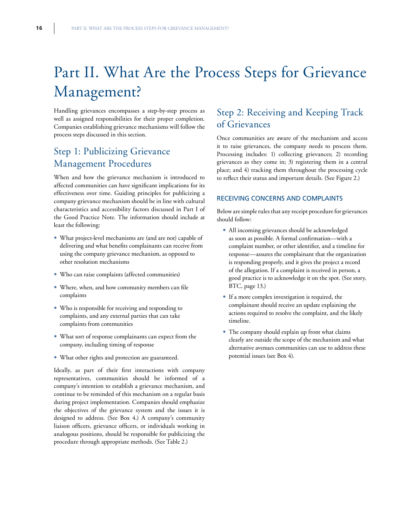# Part II. What Are the Process Steps for Grievance Management?

Handling grievances encompasses a step-by-step process as well as assigned responsibilities for their proper completion. Companies establishing grievance mechanisms will follow the process steps discussed in this section.

# Step 1: Publicizing Grievance Management Procedures

When and how the grievance mechanism is introduced to affected communities can have significant implications for its effectiveness over time. Guiding principles for publicizing a company grievance mechanism should be in line with cultural characteristics and accessibility factors discussed in Part I of the Good Practice Note. The information should include at least the following:

- What project-level mechanisms are (and are not) capable of delivering and what benefits complainants can receive from using the company grievance mechanism, as opposed to other resolution mechanisms
- Who can raise complaints (affected communities)
- Where, when, and how community members can file complaints
- Who is responsible for receiving and responding to complaints, and any external parties that can take complaints from communities
- What sort of response complainants can expect from the company, including timing of response
- What other rights and protection are guaranteed.

Ideally, as part of their first interactions with company representatives, communities should be informed of a company's intention to establish a grievance mechanism, and continue to be reminded of this mechanism on a regular basis during project implementation. Companies should emphasize the objectives of the grievance system and the issues it is designed to address. (See Box 4.) A company's community liaison officers, grievance officers, or individuals working in analogous positions, should be responsible for publicizing the procedure through appropriate methods. (See Table 2.)

# Step 2: Receiving and Keeping Track of Grievances

Once communities are aware of the mechanism and access it to raise grievances, the company needs to process them. Processing includes: 1) collecting grievances; 2) recording grievances as they come in; 3) registering them in a central place; and 4) tracking them throughout the processing cycle to reflect their status and important details. (See Figure 2.)

## Receiving Concerns and Complaints

Below are simple rules that any receipt procedure for grievances should follow:

- All incoming grievances should be acknowledged as soon as possible. A formal confirmation—with a complaint number, or other identifier, and a timeline for response—assures the complainant that the organization is responding properly, and it gives the project a record of the allegation. If a complaint is received in person, a good practice is to acknowledge it on the spot. (See story, BTC, page 13.)
- If a more complex investigation is required, the complainant should receive an update explaining the actions required to resolve the complaint, and the likely timeline.
- The company should explain up front what claims clearly are outside the scope of the mechanism and what alternative avenues communities can use to address these potential issues (see Box 4).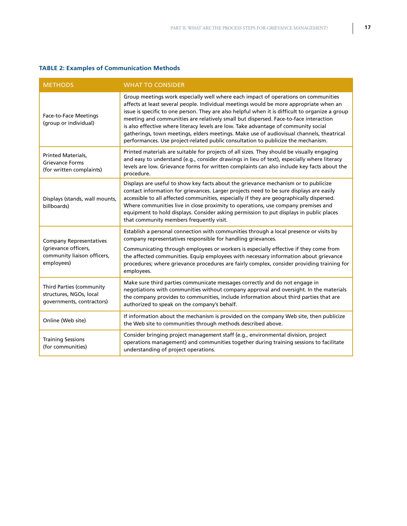| <b>METHODS</b>                                                                                      | <b>WHAT TO CONSIDER</b>                                                                                                                                                                                                                                                                                                                                                                                                                                                                                                                                                                                                                         |
|-----------------------------------------------------------------------------------------------------|-------------------------------------------------------------------------------------------------------------------------------------------------------------------------------------------------------------------------------------------------------------------------------------------------------------------------------------------------------------------------------------------------------------------------------------------------------------------------------------------------------------------------------------------------------------------------------------------------------------------------------------------------|
| <b>Face-to-Face Meetings</b><br>(group or individual)                                               | Group meetings work especially well where each impact of operations on communities<br>affects at least several people. Individual meetings would be more appropriate when an<br>issue is specific to one person. They are also helpful when it is difficult to organize a group<br>meeting and communities are relatively small but dispersed. Face-to-face interaction<br>is also effective where literacy levels are low. Take advantage of community social<br>gatherings, town meetings, elders meetings. Make use of audiovisual channels, theatrical<br>performances. Use project-related public consultation to publicize the mechanism. |
| <b>Printed Materials,</b><br><b>Grievance Forms</b><br>(for written complaints)                     | Printed materials are suitable for projects of all sizes. They should be visually engaging<br>and easy to understand (e.g., consider drawings in lieu of text), especially where literacy<br>levels are low. Grievance forms for written complaints can also include key facts about the<br>procedure.                                                                                                                                                                                                                                                                                                                                          |
| Displays (stands, wall mounts,<br>billboards)                                                       | Displays are useful to show key facts about the grievance mechanism or to publicize<br>contact information for grievances. Larger projects need to be sure displays are easily<br>accessible to all affected communities, especially if they are geographically dispersed.<br>Where communities live in close proximity to operations, use company premises and<br>equipment to hold displays. Consider asking permission to put displays in public places<br>that community members frequently visit.                                                                                                                                          |
| <b>Company Representatives</b><br>(grievance officers,<br>community liaison officers,<br>employees) | Establish a personal connection with communities through a local presence or visits by<br>company representatives responsible for handling grievances.<br>Communicating through employees or workers is especially effective if they come from<br>the affected communities. Equip employees with necessary information about grievance<br>procedures; where grievance procedures are fairly complex, consider providing training for<br>employees.                                                                                                                                                                                              |
| Third Parties (community<br>structures, NGOs, local<br>governments, contractors)                    | Make sure third parties communicate messages correctly and do not engage in<br>negotiations with communities without company approval and oversight. In the materials<br>the company provides to communities, include information about third parties that are<br>authorized to speak on the company's behalf.                                                                                                                                                                                                                                                                                                                                  |
| Online (Web site)                                                                                   | If information about the mechanism is provided on the company Web site, then publicize<br>the Web site to communities through methods described above.                                                                                                                                                                                                                                                                                                                                                                                                                                                                                          |
| <b>Training Sessions</b><br>(for communities)                                                       | Consider bringing project management staff (e.g., environmental division, project<br>operations management) and communities together during training sessions to facilitate<br>understanding of project operations.                                                                                                                                                                                                                                                                                                                                                                                                                             |

# **Table 2: Examples of Communication Methods**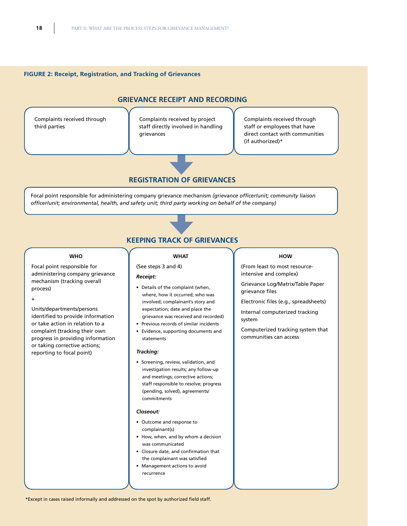### **Figure 2: Receipt, Registration, and Tracking of Grievances**



Complaints received through third parties

Complaints received by project staff directly involved in handling grievances

Complaints received through staff or employees that have direct contact with communities (if authorized)\*

# **Registration of Grievances**

Focal point responsible for administering company grievance mechanism *(grievance officer/unit; community liaison officer/unit; environmental, health, and safety unit; third party working on behalf of the company)*

# **Keeping Track of Grievances**

#### **WHO**

Focal point responsible for administering company grievance mechanism (tracking overall process)

+

Units/departments/persons identified to provide information or take action in relation to a complaint (tracking their own progress in providing information or taking corrective actions; reporting to focal point)

#### **WHAT**

(See steps 3 and 4)

#### *Receipt:*

- Details of the complaint (when, where, how it occurred; who was involved; complainant's story and expectation; date and place the grievance was received and recorded)
- Previous records of similar incidents
- Evidence, supporting documents and statements

#### *Tracking:*

• Screening, review, validation, and investigation results; any follow-up and meetings; corrective actions; staff responsible to resolve; progress (pending, solved), agreements/ commitments

#### *Closeout:*

- Outcome and response to complainant(s)
- How, when, and by whom a decision was communicated
- Closure date, and confirmation that the complainant was satisfied
- Management actions to avoid recurrence

#### **HOW**

(From least to most resourceintensive and complex)

Grievance Log/Matrix/Table Paper grievance files

Electronic files (e.g., spreadsheets)

Internal computerized tracking system

Computerized tracking system that communities can access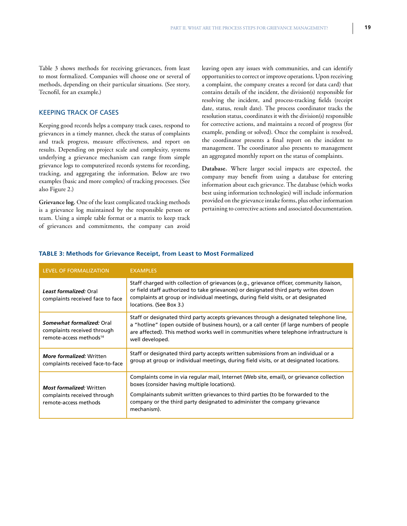Table 3 shows methods for receiving grievances, from least to most formalized. Companies will choose one or several of methods, depending on their particular situations. (See story, Tecnofil, for an example.)

## Keeping Track of Cases

Keeping good records helps a company track cases, respond to grievances in a timely manner, check the status of complaints and track progress, measure effectiveness, and report on results. Depending on project scale and complexity, systems underlying a grievance mechanism can range from simple grievance logs to computerized records systems for recording, tracking, and aggregating the information. Below are two examples (basic and more complex) of tracking processes. (See also Figure 2.)

**Grievance log.** One of the least complicated tracking methods is a grievance log maintained by the responsible person or team. Using a simple table format or a matrix to keep track of grievances and commitments, the company can avoid

leaving open any issues with communities, and can identify opportunities to correct or improve operations. Upon receiving a complaint, the company creates a record (or data card) that contains details of the incident, the division(s) responsible for resolving the incident, and process-tracking fields (receipt date, status, result date). The process coordinator tracks the resolution status, coordinates it with the division(s) responsible for corrective actions, and maintains a record of progress (for example, pending or solved). Once the complaint is resolved, the coordinator presents a final report on the incident to management. The coordinator also presents to management an aggregated monthly report on the status of complaints.

**Database.** Where larger social impacts are expected, the company may benefit from using a database for entering information about each grievance. The database (which works best using information technologies) will include information provided on the grievance intake forms, plus other information pertaining to corrective actions and associated documentation.

| LEVEL OF FORMALIZATION                                                                          | <b>EXAMPLES</b>                                                                                                                                                                                                                                                                                                        |
|-------------------------------------------------------------------------------------------------|------------------------------------------------------------------------------------------------------------------------------------------------------------------------------------------------------------------------------------------------------------------------------------------------------------------------|
| Least formalized: Oral<br>complaints received face to face                                      | Staff charged with collection of grievances (e.g., grievance officer, community liaison,<br>or field staff authorized to take grievances) or designated third party writes down<br>complaints at group or individual meetings, during field visits, or at designated<br>locations. (See Box 3.)                        |
| Somewhat formalized: Oral<br>complaints received through<br>remote-access methods <sup>14</sup> | Staff or designated third party accepts grievances through a designated telephone line,<br>a "hotline" (open outside of business hours), or a call center (if large numbers of people<br>are affected). This method works well in communities where telephone infrastructure is<br>well developed.                     |
| <b>More formalized: Written</b><br>complaints received face-to-face                             | Staff or designated third party accepts written submissions from an individual or a<br>group at group or individual meetings, during field visits, or at designated locations.                                                                                                                                         |
| <b>Most formalized: Written</b><br>complaints received through<br>remote-access methods         | Complaints come in via regular mail, Internet (Web site, email), or grievance collection<br>boxes (consider having multiple locations).<br>Complainants submit written grievances to third parties (to be forwarded to the<br>company or the third party designated to administer the company grievance<br>mechanism). |

#### **Table 3: Methods for Grievance Receipt, from Least to Most Formalized**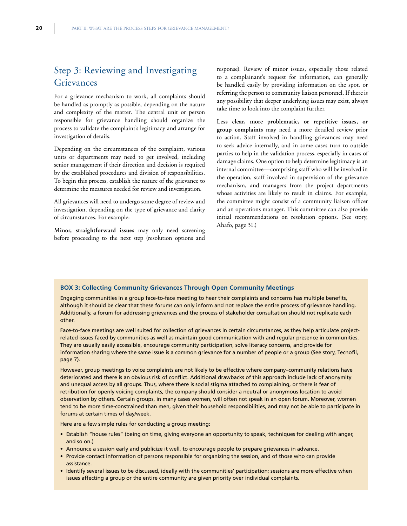# Step 3: Reviewing and Investigating Grievances

For a grievance mechanism to work, all complaints should be handled as promptly as possible, depending on the nature and complexity of the matter. The central unit or person responsible for grievance handling should organize the process to validate the complaint's legitimacy and arrange for investigation of details.

Depending on the circumstances of the complaint, various units or departments may need to get involved, including senior management if their direction and decision is required by the established procedures and division of responsibilities. To begin this process, establish the nature of the grievance to determine the measures needed for review and investigation.

All grievances will need to undergo some degree of review and investigation, depending on the type of grievance and clarity of circumstances. For example:

**Minor, straightforward issues** may only need screening before proceeding to the next step (resolution options and response). Review of minor issues, especially those related to a complainant's request for information, can generally be handled easily by providing information on the spot, or referring the person to community liaison personnel. If there is any possibility that deeper underlying issues may exist, always take time to look into the complaint further.

**Less clear, more problematic, or repetitive issues, or group complaints** may need a more detailed review prior to action. Staff involved in handling grievances may need to seek advice internally, and in some cases turn to outside parties to help in the validation process, especially in cases of damage claims. One option to help determine legitimacy is an internal committee—comprising staff who will be involved in the operation, staff involved in supervision of the grievance mechanism, and managers from the project departments whose activities are likely to result in claims. For example, the committee might consist of a community liaison officer and an operations manager. This committee can also provide initial recommendations on resolution options. (See story, Ahafo, page 31.)

## **Box 3: Collecting Community Grievances Through Open Community Meetings**

Engaging communities in a group face-to-face meeting to hear their complaints and concerns has multiple benefits, although it should be clear that these forums can only inform and not replace the entire process of grievance handling. Additionally, a forum for addressing grievances and the process of stakeholder consultation should not replicate each other.

Face-to-face meetings are well suited for collection of grievances in certain circumstances, as they help articulate projectrelated issues faced by communities as well as maintain good communication with and regular presence in communities. They are usually easily accessible, encourage community participation, solve literacy concerns, and provide for information sharing where the same issue is a common grievance for a number of people or a group (See story, Tecnofil, page 7).

However, group meetings to voice complaints are not likely to be effective where company–community relations have deteriorated and there is an obvious risk of conflict. Additional drawbacks of this approach include lack of anonymity and unequal access by all groups. Thus, where there is social stigma attached to complaining, or there is fear of retribution for openly voicing complaints, the company should consider a neutral or anonymous location to avoid observation by others. Certain groups, in many cases women, will often not speak in an open forum. Moreover, women tend to be more time-constrained than men, given their household responsibilities, and may not be able to participate in forums at certain times of day/week.

Here are a few simple rules for conducting a group meeting:

- Establish "house rules" (being on time, giving everyone an opportunity to speak, techniques for dealing with anger, and so on.)
- Announce a session early and publicize it well, to encourage people to prepare grievances in advance.
- Provide contact information of persons responsible for organizing the session, and of those who can provide assistance.
- Identify several issues to be discussed, ideally with the communities' participation; sessions are more effective when issues affecting a group or the entire community are given priority over individual complaints.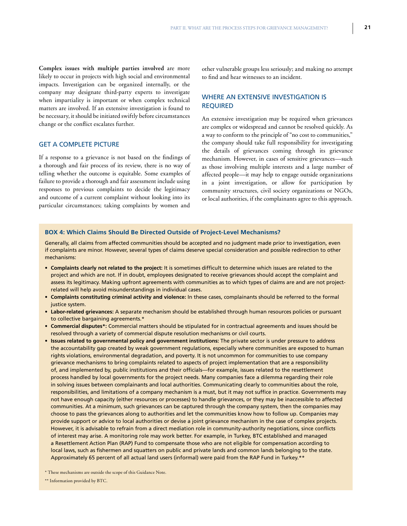**Complex issues with multiple parties involved** are more likely to occur in projects with high social and environmental impacts. Investigation can be organized internally, or the company may designate third-party experts to investigate when impartiality is important or when complex technical matters are involved. If an extensive investigation is found to be necessary, it should be initiated swiftly before circumstances change or the conflict escalates further.

# **GET A COMPLETE PICTURE**

If a response to a grievance is not based on the findings of a thorough and fair process of its review, there is no way of telling whether the outcome is equitable. Some examples of failure to provide a thorough and fair assessment include using responses to previous complaints to decide the legitimacy and outcome of a current complaint without looking into its particular circumstances; taking complaints by women and

other vulnerable groups less seriously; and making no attempt to find and hear witnesses to an incident.

# Where an Extensive Investigation is **REQUIRED**

An extensive investigation may be required when grievances are complex or widespread and cannot be resolved quickly. As a way to conform to the principle of "no cost to communities," the company should take full responsibility for investigating the details of grievances coming through its grievance mechanism. However, in cases of sensitive grievances—such as those involving multiple interests and a large number of affected people—it may help to engage outside organizations in a joint investigation, or allow for participation by community structures, civil society organizations or NGOs, or local authorities, if the complainants agree to this approach.

#### **Box 4: Which Claims Should Be Directed Outside of Project-Level Mechanisms?**

Generally, all claims from affected communities should be accepted and no judgment made prior to investigation, even if complaints are minor. However, several types of claims deserve special consideration and possible redirection to other mechanisms:

- **Complaints clearly not related to the project:** It is sometimes difficult to determine which issues are related to the project and which are not. If in doubt, employees designated to receive grievances should accept the complaint and assess its legitimacy. Making upfront agreements with communities as to which types of claims are and are not projectrelated will help avoid misunderstandings in individual cases.
- **Complaints constituting criminal activity and violence:** In these cases, complainants should be referred to the formal justice system.
- **Labor-related grievances:** A separate mechanism should be established through human resources policies or pursuant to collective bargaining agreements.\*
- **Commercial disputes\*:** Commercial matters should be stipulated for in contractual agreements and issues should be resolved through a variety of commercial dispute resolution mechanisms or civil courts.
- **Issues related to governmental policy and government institutions:** The private sector is under pressure to address the accountability gap created by weak government regulations, especially where communities are exposed to human rights violations, environmental degradation, and poverty. It is not uncommon for communities to use company grievance mechanisms to bring complaints related to aspects of project implementation that are a responsibility of, and implemented by, public institutions and their officials—for example, issues related to the resettlement process handled by local governments for the project needs. Many companies face a dilemma regarding their role in solving issues between complainants and local authorities. Communicating clearly to communities about the role, responsibilities, and limitations of a company mechanism is a must, but it may not suffice in practice. Governments may not have enough capacity (either resources or processes) to handle grievances, or they may be inaccessible to affected communities. At a minimum, such grievances can be captured through the company system, then the companies may choose to pass the grievances along to authorities and let the communities know how to follow up. Companies may provide support or advice to local authorities or devise a joint grievance mechanism in the case of complex projects. However, it is advisable to refrain from a direct mediation role in community-authority negotiations, since conflicts of interest may arise. A monitoring role may work better. For example, in Turkey, BTC established and managed a Resettlement Action Plan (RAP) Fund to compensate those who are not eligible for compensation according to local laws, such as fishermen and squatters on public and private lands and common lands belonging to the state. Approximately 65 percent of all actual land users (informal) were paid from the RAP Fund in Turkey.\*\*

<sup>\*</sup> These mechanisms are outside the scope of this Guidance Note.

<sup>\*\*</sup> Information provided by BTC.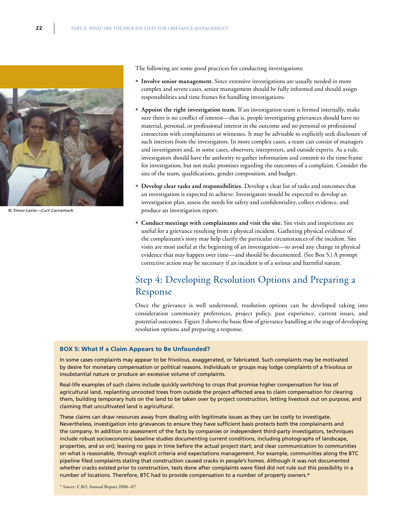

*© Timor-Leste—Curt Carnemark.*

The following are some good practices for conducting investigations:

- **Involve senior management.** Since extensive investigations are usually needed in more complex and severe cases, senior management should be fully informed and should assign responsibilities and time frames for handling investigations.
- **Appoint the right investigation team.** If an investigation team is formed internally, make sure there is no conflict of interest—that is, people investigating grievances should have no material, personal, or professional interest in the outcome and no personal or professional connection with complainants or witnesses. It may be advisable to explicitly seek disclosure of such interests from the investigators. In more complex cases, a team can consist of managers and investigators and, in some cases, observers, interpreters, and outside experts. As a rule, investigators should have the authority to gather information and commit to the time frame for investigation, but not make promises regarding the outcomes of a complaint. Consider the size of the team, qualifications, gender composition, and budget.
- **Develop clear tasks and responsibilities.** Develop a clear list of tasks and outcomes that an investigation is expected to achieve. Investigators would be expected to develop an investigation plan, assess the needs for safety and confidentiality, collect evidence, and produce an investigation report.
- **Conduct meetings with complainants and visit the site.** Site visits and inspections are useful for a grievance resulting from a physical incident. Gathering physical evidence of the complainant's story may help clarify the particular circumstances of the incident. Site visits are most useful at the beginning of an investigation—to avoid any change in physical evidence that may happen over time—and should be documented. (See Box 5.) A prompt corrective action may be necessary if an incident is of a serious and harmful nature.

# Step 4: Developing Resolution Options and Preparing a Response

Once the grievance is well understood, resolution options can be developed taking into consideration community preferences, project policy, past experience, current issues, and potential outcomes. Figure 3 shows the basic flow of grievance handling at the stage of developing resolution options and preparing a response.

#### **Box 5: What If a Claim Appears to Be Unfounded?**

In some cases complaints may appear to be frivolous, exaggerated, or fabricated. Such complaints may be motivated by desire for monetary compensation or political reasons. Individuals or groups may lodge complaints of a frivolous or insubstantial nature or produce an excessive volume of complaints.

Real-life examples of such claims include quickly switching to crops that promise higher compensation for loss of agricultural land, replanting unrooted trees from outside the project-affected area to claim compensation for clearing them, building temporary huts on the land to be taken over by project construction, letting livestock out on purpose, and claiming that uncultivated land is agricultural.

These claims can draw resources away from dealing with legitimate issues as they can be costly to investigate. Nevertheless, investigation into grievances to ensure they have sufficient basis protects both the complainants and the company. In addition to assessment of the facts by companies or independent third-party investigators, techniques include robust socioeconomic baseline studies documenting current conditions, including photographs of landscape, properties, and so on); leaving no gaps in time before the actual project start; and clear communication to communities on what is reasonable, through explicit criteria and expectations management. For example, communities along the BTC pipeline filed complaints stating that construction caused cracks in people's homes. Although it was not documented whether cracks existed prior to construction, tests done after complaints were filed did not rule out this possibility in a number of locations. Therefore, BTC had to provide compensation to a number of property owners.\*

\* *Source:* CAO, Annual Report 2006–07.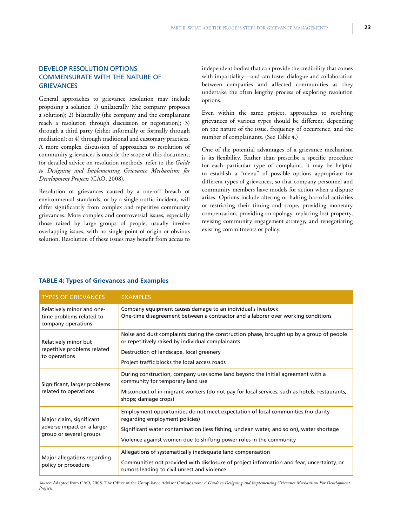# Develop Resolution Options Commensurate with the Nature of **GRIEVANCES**

General approaches to grievance resolution may include proposing a solution 1) unilaterally (the company proposes a solution); 2) bilaterally (the company and the complainant reach a resolution through discussion or negotiation); 3) through a third party (either informally or formally through mediation); or 4) through traditional and customary practices. A more complex discussion of approaches to resolution of community grievances is outside the scope of this document; for detailed advice on resolution methods, refer to the *Guide to Designing and Implementing Grievance Mechanisms for Development Projects* (CAO, 2008).

Resolution of grievances caused by a one-off breach of environmental standards, or by a single traffic incident, will differ significantly from complex and repetitive community grievances. More complex and controversial issues, especially those raised by large groups of people, usually involve overlapping issues, with no single point of origin or obvious solution. Resolution of these issues may benefit from access to

independent bodies that can provide the credibility that comes with impartiality—and can foster dialogue and collaboration between companies and affected communities as they undertake the often lengthy process of exploring resolution options.

Even within the same project, approaches to resolving grievances of various types should be different, depending on the nature of the issue, frequency of occurrence, and the number of complainants. (See Table 4.)

One of the potential advantages of a grievance mechanism is its flexibility. Rather than prescribe a specific procedure for each particular type of complaint, it may be helpful to establish a "menu" of possible options appropriate for different types of grievances, so that company personnel and community members have models for action when a dispute arises. Options include altering or halting harmful activities or restricting their timing and scope, providing monetary compensation, providing an apology, replacing lost property, revising community engagement strategy, and renegotiating existing commitments or policy.

| <b>TYPES OF GRIEVANCES</b>                                                        | <b>EXAMPLES</b>                                                                                                                                                                                                                                                                        |
|-----------------------------------------------------------------------------------|----------------------------------------------------------------------------------------------------------------------------------------------------------------------------------------------------------------------------------------------------------------------------------------|
| Relatively minor and one-<br>time problems related to<br>company operations       | Company equipment causes damage to an individual's livestock<br>One-time disagreement between a contractor and a laborer over working conditions                                                                                                                                       |
| Relatively minor but<br>repetitive problems related<br>to operations              | Noise and dust complaints during the construction phase, brought up by a group of people<br>or repetitively raised by individual complainants<br>Destruction of landscape, local greenery<br>Project traffic blocks the local access roads                                             |
| Significant, larger problems<br>related to operations                             | During construction, company uses some land beyond the initial agreement with a<br>community for temporary land use<br>Misconduct of in-migrant workers (do not pay for local services, such as hotels, restaurants,<br>shops; damage crops)                                           |
| Major claim, significant<br>adverse impact on a larger<br>group or several groups | Employment opportunities do not meet expectation of local communities (no clarity<br>regarding employment policies)<br>Significant water contamination (less fishing, unclean water, and so on), water shortage<br>Violence against women due to shifting power roles in the community |
| Major allegations regarding<br>policy or procedure                                | Allegations of systematically inadequate land compensation<br>Communities not provided with disclosure of project information and fear, uncertainty, or<br>rumors leading to civil unrest and violence                                                                                 |

#### **Table 4: Types of Grievances and Examples**

*Source*: Adapted from CAO, 2008. The Office of the Compliance Advisor Ombudsman: *A Guide to Designing and Implementing Grievance Mechanisms For Development Projects*.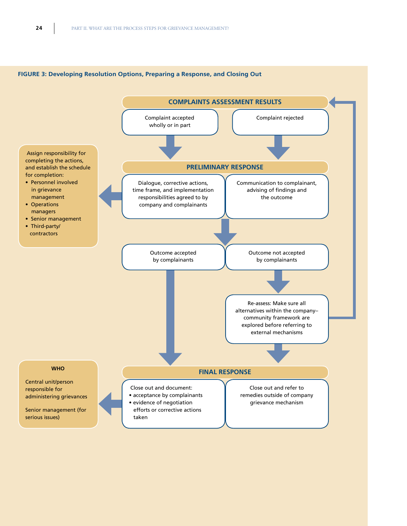

## **Figure 3: Developing Resolution Options, Preparing a Response, and Closing Out**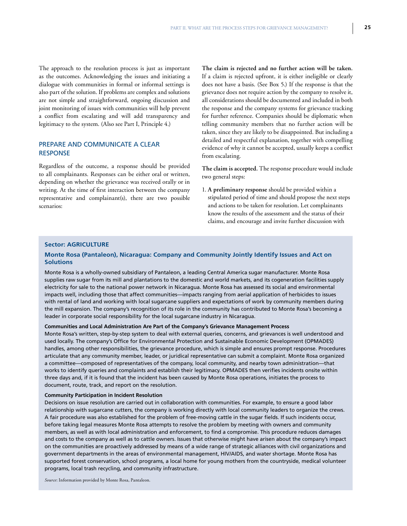The approach to the resolution process is just as important as the outcomes. Acknowledging the issues and initiating a dialogue with communities in formal or informal settings is also part of the solution. If problems are complex and solutions are not simple and straightforward, ongoing discussion and joint monitoring of issues with communities will help prevent a conflict from escalating and will add transparency and legitimacy to the system. (Also see Part I, Principle 4.)

# Prepare and Communicate a Clear **RESPONSE**

Regardless of the outcome, a response should be provided to all complainants. Responses can be either oral or written, depending on whether the grievance was received orally or in writing. At the time of first interaction between the company representative and complainant(s), there are two possible scenarios:

**The claim is rejected and no further action will be taken.**  If a claim is rejected upfront, it is either ineligible or clearly does not have a basis. (See Box 5.) If the response is that the grievance does not require action by the company to resolve it, all considerations should be documented and included in both the response and the company systems for grievance tracking for further reference. Companies should be diplomatic when telling community members that no further action will be taken, since they are likely to be disappointed. But including a detailed and respectful explanation, together with compelling evidence of why it cannot be accepted, usually keeps a conflict from escalating.

**The claim is accepted.** The response procedure would include two general steps:

1. **A preliminary response** should be provided within a stipulated period of time and should propose the next steps and actions to be taken for resolution. Let complainants know the results of the assessment and the status of their claims, and encourage and invite further discussion with

## **Sector: AGRICULTURE**

## **Monte Rosa (Pantaleon), Nicaragua: Company and Community Jointly Identify Issues and Act on Solutions**

Monte Rosa is a wholly-owned subsidiary of Pantaleon, a leading Central America sugar manufacturer. Monte Rosa supplies raw sugar from its mill and plantations to the domestic and world markets, and its cogeneration facilities supply electricity for sale to the national power network in Nicaragua. Monte Rosa has assessed its social and environmental impacts well, including those that affect communities—impacts ranging from aerial application of herbicides to issues with rental of land and working with local sugarcane suppliers and expectations of work by community members during the mill expansion. The company's recognition of its role in the community has contributed to Monte Rosa's becoming a leader in corporate social responsibility for the local sugarcane industry in Nicaragua.

#### **Communities and Local Administration Are Part of the Company's Grievance Management Process**

Monte Rosa's written, step-by-step system to deal with external queries, concerns, and grievances is well understood and used locally. The company's Office for Environmental Protection and Sustainable Economic Development (OPMADES) handles, among other responsibilities, the grievance procedure, which is simple and ensures prompt response. Procedures articulate that any community member, leader, or juridical representative can submit a complaint. Monte Rosa organized a committee—composed of representatives of the company, local community, and nearby town administration—that works to identify queries and complaints and establish their legitimacy. OPMADES then verifies incidents onsite within three days and, if it is found that the incident has been caused by Monte Rosa operations, initiates the process to document, route, track, and report on the resolution.

#### **Community Participation in Incident Resolution**

Decisions on issue resolution are carried out in collaboration with communities. For example, to ensure a good labor relationship with sugarcane cutters, the company is working directly with local community leaders to organize the crews. A fair procedure was also established for the problem of free-moving cattle in the sugar fields. If such incidents occur, before taking legal measures Monte Rosa attempts to resolve the problem by meeting with owners and community members, as well as with local administration and enforcement, to find a compromise. This procedure reduces damages and costs to the company as well as to cattle owners. Issues that otherwise might have arisen about the company's impact on the communities are proactively addressed by means of a wide range of strategic alliances with civil organizations and government departments in the areas of environmental management, HIV/AIDS, and water shortage. Monte Rosa has supported forest conservation, school programs, a local home for young mothers from the countryside, medical volunteer programs, local trash recycling, and community infrastructure.

*Source*: Information provided by Monte Rosa, Pantaleon.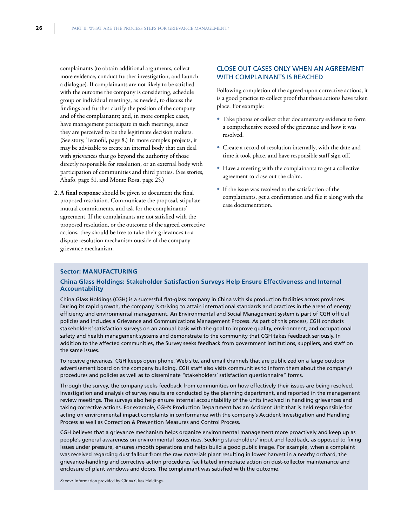complainants (to obtain additional arguments, collect more evidence, conduct further investigation, and launch a dialogue). If complainants are not likely to be satisfied with the outcome the company is considering, schedule group or individual meetings, as needed, to discuss the findings and further clarify the position of the company and of the complainants; and, in more complex cases, have management participate in such meetings, since they are perceived to be the legitimate decision makers. (See story, Tecnofil, page 8.) In more complex projects, it may be advisable to create an internal body that can deal with grievances that go beyond the authority of those directly responsible for resolution, or an external body with participation of communities and third parties. (See stories, Ahafo, page 31, and Monte Rosa, page 25.)

2. **A final response** should be given to document the final proposed resolution. Communicate the proposal, stipulate mutual commitments, and ask for the complainants' agreement. If the complainants are not satisfied with the proposed resolution, or the outcome of the agreed corrective actions, they should be free to take their grievances to a dispute resolution mechanism outside of the company grievance mechanism.

# Close Out Cases Only When an Agreement with Complainants Is Reached

Following completion of the agreed-upon corrective actions, it is a good practice to collect proof that those actions have taken place. For example:

- Take photos or collect other documentary evidence to form a comprehensive record of the grievance and how it was resolved.
- Create a record of resolution internally, with the date and time it took place, and have responsible staff sign off.
- Have a meeting with the complainants to get a collective agreement to close out the claim.
- If the issue was resolved to the satisfaction of the complainants, get a confirmation and file it along with the case documentation.

# **Sector: MANUFACTURING**

## **China Glass Holdings: Stakeholder Satisfaction Surveys Help Ensure Effectiveness and Internal Accountability**

China Glass Holdings (CGH) is a successful flat-glass company in China with six production facilities across provinces. During its rapid growth, the company is striving to attain international standards and practices in the areas of energy efficiency and environmental management. An Environmental and Social Management system is part of CGH official policies and includes a Grievance and Communications Management Process. As part of this process, CGH conducts stakeholders' satisfaction surveys on an annual basis with the goal to improve quality, environment, and occupational safety and health management systems and demonstrate to the community that CGH takes feedback seriously. In addition to the affected communities, the Survey seeks feedback from government institutions, suppliers, and staff on the same issues.

To receive grievances, CGH keeps open phone, Web site, and email channels that are publicized on a large outdoor advertisement board on the company building. CGH staff also visits communities to inform them about the company's procedures and policies as well as to disseminate "stakeholders' satisfaction questionnaire" forms.

Through the survey, the company seeks feedback from communities on how effectively their issues are being resolved. Investigation and analysis of survey results are conducted by the planning department, and reported in the management review meetings. The surveys also help ensure internal accountability of the units involved in handling grievances and taking corrective actions. For example, CGH's Production Department has an Accident Unit that is held responsible for acting on environmental impact complaints in conformance with the company's Accident Investigation and Handling Process as well as Correction & Prevention Measures and Control Process.

CGH believes that a grievance mechanism helps organize environmental management more proactively and keep up as people's general awareness on environmental issues rises. Seeking stakeholders' input and feedback, as opposed to fixing issues under pressure, ensures smooth operations and helps build a good public image. For example, when a complaint was received regarding dust fallout from the raw materials plant resulting in lower harvest in a nearby orchard, the grievance-handling and corrective action procedures facilitated immediate action on dust-collector maintenance and enclosure of plant windows and doors. The complainant was satisfied with the outcome.

*Source*: Information provided by China Glass Holdings.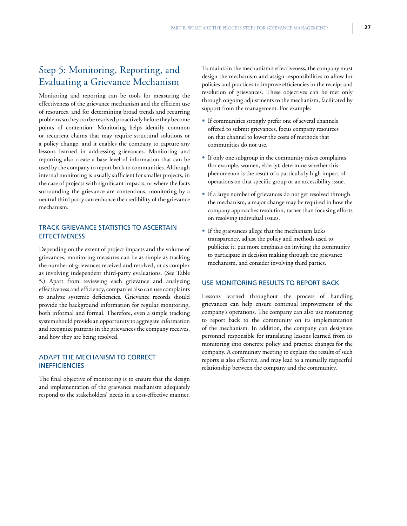# Step 5: Monitoring, Reporting, and Evaluating a Grievance Mechanism

Monitoring and reporting can be tools for measuring the effectiveness of the grievance mechanism and the efficient use of resources, and for determining broad trends and recurring problems so they can be resolved proactively before they become points of contention. Monitoring helps identify common or recurrent claims that may require structural solutions or a policy change, and it enables the company to capture any lessons learned in addressing grievances. Monitoring and reporting also create a base level of information that can be used by the company to report back to communities. Although internal monitoring is usually sufficient for smaller projects, in the case of projects with significant impacts, or where the facts surrounding the grievance are contentious, monitoring by a neutral third party can enhance the credibility of the grievance mechanism.

## Track Grievance Statistics to Ascertain **EFFECTIVENESS**

Depending on the extent of project impacts and the volume of grievances, monitoring measures can be as simple as tracking the number of grievances received and resolved, or as complex as involving independent third-party evaluations. (See Table 5.) Apart from reviewing each grievance and analyzing effectiveness and efficiency, companies also can use complaints to analyze systemic deficiencies. Grievance records should provide the background information for regular monitoring, both informal and formal. Therefore, even a simple tracking system should provide an opportunity to aggregate information and recognize patterns in the grievances the company receives, and how they are being resolved.

# Adapt the Mechanism to Correct **INEFFICIENCIES**

The final objective of monitoring is to ensure that the design and implementation of the grievance mechanism adequately respond to the stakeholders' needs in a cost-effective manner. To maintain the mechanism's effectiveness, the company must design the mechanism and assign responsibilities to allow for policies and practices to improve efficiencies in the receipt and resolution of grievances. These objectives can be met only through ongoing adjustments to the mechanism, facilitated by support from the management. For example:

- If communities strongly prefer one of several channels offered to submit grievances, focus company resources on that channel to lower the costs of methods that communities do not use.
- If only one subgroup in the community raises complaints (for example, women, elderly), determine whether this phenomenon is the result of a particularly high impact of operations on that specific group or an accessibility issue.
- If a large number of grievances do not get resolved through the mechanism, a major change may be required in how the company approaches resolution, rather than focusing efforts on resolving individual issues.
- If the grievances allege that the mechanism lacks transparency, adjust the policy and methods used to publicize it, put more emphasis on inviting the community to participate in decision making through the grievance mechanism, and consider involving third parties.

## Use Monitoring Results to Report Back

Lessons learned throughout the process of handling grievances can help ensure continual improvement of the company's operations. The company can also use monitoring to report back to the community on its implementation of the mechanism. In addition, the company can designate personnel responsible for translating lessons learned from its monitoring into concrete policy and practice changes for the company. A community meeting to explain the results of such reports is also effective, and may lead to a mutually respectful relationship between the company and the community.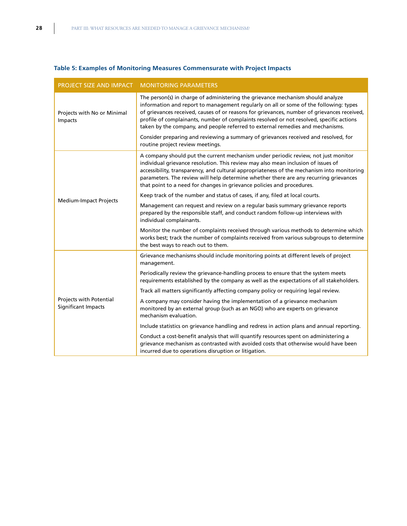# **Table 5: Examples of Monitoring Measures Commensurate with Project Impacts**

| PROJECT SIZE AND IMPACT                        | <b>MONITORING PARAMETERS</b>                                                                                                                                                                                                                                                                                                                                                                                                                          |
|------------------------------------------------|-------------------------------------------------------------------------------------------------------------------------------------------------------------------------------------------------------------------------------------------------------------------------------------------------------------------------------------------------------------------------------------------------------------------------------------------------------|
| Projects with No or Minimal<br>Impacts         | The person(s) in charge of administering the grievance mechanism should analyze<br>information and report to management regularly on all or some of the following: types<br>of grievances received, causes of or reasons for grievances, number of grievances received,<br>profile of complainants, number of complaints resolved or not resolved, specific actions<br>taken by the company, and people referred to external remedies and mechanisms. |
|                                                | Consider preparing and reviewing a summary of grievances received and resolved, for<br>routine project review meetings.                                                                                                                                                                                                                                                                                                                               |
|                                                | A company should put the current mechanism under periodic review, not just monitor<br>individual grievance resolution. This review may also mean inclusion of issues of<br>accessibility, transparency, and cultural appropriateness of the mechanism into monitoring<br>parameters. The review will help determine whether there are any recurring grievances<br>that point to a need for changes in grievance policies and procedures.              |
| <b>Medium-Impact Projects</b>                  | Keep track of the number and status of cases, if any, filed at local courts.                                                                                                                                                                                                                                                                                                                                                                          |
|                                                | Management can request and review on a regular basis summary grievance reports<br>prepared by the responsible staff, and conduct random follow-up interviews with<br>individual complainants.                                                                                                                                                                                                                                                         |
|                                                | Monitor the number of complaints received through various methods to determine which<br>works best; track the number of complaints received from various subgroups to determine<br>the best ways to reach out to them.                                                                                                                                                                                                                                |
|                                                | Grievance mechanisms should include monitoring points at different levels of project<br>management.                                                                                                                                                                                                                                                                                                                                                   |
|                                                | Periodically review the grievance-handling process to ensure that the system meets<br>requirements established by the company as well as the expectations of all stakeholders.                                                                                                                                                                                                                                                                        |
|                                                | Track all matters significantly affecting company policy or requiring legal review.                                                                                                                                                                                                                                                                                                                                                                   |
| Projects with Potential<br>Significant Impacts | A company may consider having the implementation of a grievance mechanism<br>monitored by an external group (such as an NGO) who are experts on grievance<br>mechanism evaluation.                                                                                                                                                                                                                                                                    |
|                                                | Include statistics on grievance handling and redress in action plans and annual reporting.                                                                                                                                                                                                                                                                                                                                                            |
|                                                | Conduct a cost-benefit analysis that will quantify resources spent on administering a<br>grievance mechanism as contrasted with avoided costs that otherwise would have been<br>incurred due to operations disruption or litigation.                                                                                                                                                                                                                  |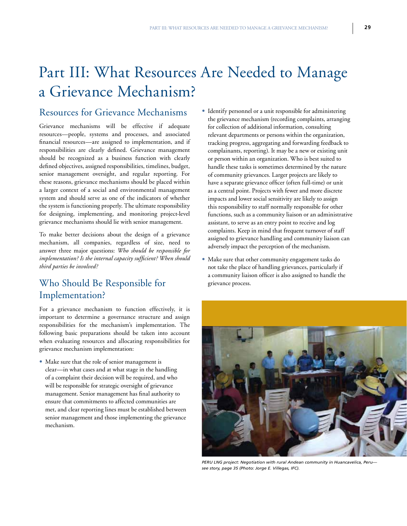# Part III: What Resources Are Needed to Manage a Grievance Mechanism?

# Resources for Grievance Mechanisms

Grievance mechanisms will be effective if adequate resources—people, systems and processes, and associated financial resources—are assigned to implementation, and if responsibilities are clearly defined. Grievance management should be recognized as a business function with clearly defined objectives, assigned responsibilities, timelines, budget, senior management oversight, and regular reporting. For these reasons, grievance mechanisms should be placed within a larger context of a social and environmental management system and should serve as one of the indicators of whether the system is functioning properly. The ultimate responsibility for designing, implementing, and monitoring project-level grievance mechanisms should lie with senior management.

To make better decisions about the design of a grievance mechanism, all companies, regardless of size, need to answer three major questions: *Who should be responsible for implementation? Is the internal capacity sufficient? When should third parties be involved?*

# Who Should Be Responsible for Implementation?

For a grievance mechanism to function effectively, it is important to determine a governance structure and assign responsibilities for the mechanism's implementation. The following basic preparations should be taken into account when evaluating resources and allocating responsibilities for grievance mechanism implementation:

• Make sure that the role of senior management is clear—in what cases and at what stage in the handling of a complaint their decision will be required, and who will be responsible for strategic oversight of grievance management. Senior management has final authority to ensure that commitments to affected communities are met, and clear reporting lines must be established between senior management and those implementing the grievance mechanism.

- Identify personnel or a unit responsible for administering the grievance mechanism (recording complaints, arranging for collection of additional information, consulting relevant departments or persons within the organization, tracking progress, aggregating and forwarding feedback to complainants, reporting). It may be a new or existing unit or person within an organization. Who is best suited to handle these tasks is sometimes determined by the nature of community grievances. Larger projects are likely to have a separate grievance officer (often full-time) or unit as a central point. Projects with fewer and more discrete impacts and lower social sensitivity are likely to assign this responsibility to staff normally responsible for other functions, such as a community liaison or an administrative assistant, to serve as an entry point to receive and log complaints. Keep in mind that frequent turnover of staff assigned to grievance handling and community liaison can adversely impact the perception of the mechanism.
- Make sure that other community engagement tasks do not take the place of handling grievances, particularly if a community liaison officer is also assigned to handle the grievance process.



*PERU LNG project: Negotiation with rural Andean community in Huancavelica, Peru see story, page 35 (Photo: Jorge E. Villegas, IFC).*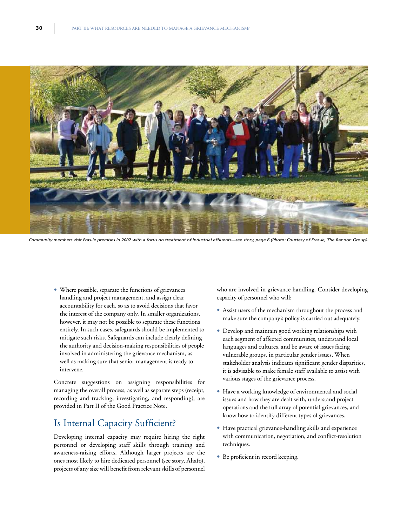

*Community members visit Fras-le premises in 2007 with a focus on treatment of industrial effluents—see story, page 6 (Photo: Courtesy of Fras-le, The Randon Group).*

• Where possible, separate the functions of grievances handling and project management, and assign clear accountability for each, so as to avoid decisions that favor the interest of the company only. In smaller organizations, however, it may not be possible to separate these functions entirely. In such cases, safeguards should be implemented to mitigate such risks. Safeguards can include clearly defining the authority and decision-making responsibilities of people involved in administering the grievance mechanism, as well as making sure that senior management is ready to intervene.

Concrete suggestions on assigning responsibilities for managing the overall process, as well as separate steps (receipt, recording and tracking, investigating, and responding), are provided in Part II of the Good Practice Note.

# Is Internal Capacity Sufficient?

Developing internal capacity may require hiring the right personnel or developing staff skills through training and awareness-raising efforts. Although larger projects are the ones most likely to hire dedicated personnel (see story, Ahafo), projects of any size will benefit from relevant skills of personnel who are involved in grievance handling. Consider developing capacity of personnel who will:

- Assist users of the mechanism throughout the process and make sure the company's policy is carried out adequately.
- Develop and maintain good working relationships with each segment of affected communities, understand local languages and cultures, and be aware of issues facing vulnerable groups, in particular gender issues. When stakeholder analysis indicates significant gender disparities, it is advisable to make female staff available to assist with various stages of the grievance process.
- Have a working knowledge of environmental and social issues and how they are dealt with, understand project operations and the full array of potential grievances, and know how to identify different types of grievances.
- Have practical grievance-handling skills and experience with communication, negotiation, and conflict-resolution techniques.
- Be proficient in record keeping.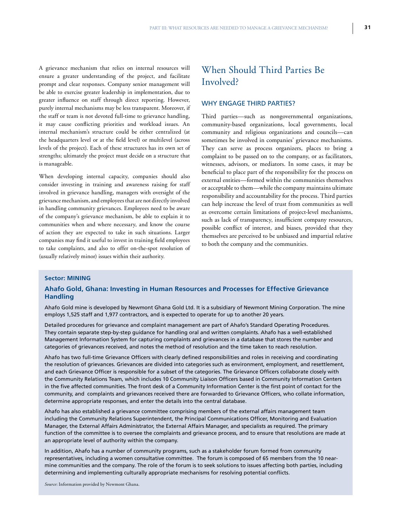A grievance mechanism that relies on internal resources will ensure a greater understanding of the project, and facilitate prompt and clear responses. Company senior management will be able to exercise greater leadership in implementation, due to greater influence on staff through direct reporting. However, purely internal mechanisms may be less transparent. Moreover, if the staff or team is not devoted full-time to grievance handling, it may cause conflicting priorities and workload issues. An internal mechanism's structure could be either centralized (at the headquarters level or at the field level) or multilevel (across levels of the project). Each of these structures has its own set of strengths; ultimately the project must decide on a structure that is manageable.

When developing internal capacity, companies should also consider investing in training and awareness raising for staff involved in grievance handling, managers with oversight of the grievance mechanism, and employees that are not directly involved in handling community grievances. Employees need to be aware of the company's grievance mechanism, be able to explain it to communities when and where necessary, and know the course of action they are expected to take in such situations. Larger companies may find it useful to invest in training field employees to take complaints, and also to offer on-the-spot resolution of (usually relatively minor) issues within their authority.

# When Should Third Parties Be Involved?

### WHY ENGAGE THIRD PARTIES?

Third parties—such as nongovernmental organizations, community-based organizations, local governments, local community and religious organizations and councils—can sometimes be involved in companies' grievance mechanisms. They can serve as process organizers, places to bring a complaint to be passed on to the company, or as facilitators, witnesses, advisors, or mediators. In some cases, it may be beneficial to place part of the responsibility for the process on external entities—formed within the communities themselves or acceptable to them—while the company maintains ultimate responsibility and accountability for the process. Third parties can help increase the level of trust from communities as well as overcome certain limitations of project-level mechanisms, such as lack of transparency, insufficient company resources, possible conflict of interest, and biases, provided that they themselves are perceived to be unbiased and impartial relative to both the company and the communities.

#### **Sector: MINING**

## **Ahafo Gold, Ghana: Investing in Human Resources and Processes for Effective Grievance Handling**

Ahafo Gold mine is developed by Newmont Ghana Gold Ltd. It is a subsidiary of Newmont Mining Corporation. The mine employs 1,525 staff and 1,977 contractors, and is expected to operate for up to another 20 years.

Detailed procedures for grievance and complaint management are part of Ahafo's Standard Operating Procedures. They contain separate step-by-step guidance for handling oral and written complaints. Ahafo has a well-established Management Information System for capturing complaints and grievances in a database that stores the number and categories of grievances received, and notes the method of resolution and the time taken to reach resolution.

Ahafo has two full-time Grievance Officers with clearly defined responsibilities and roles in receiving and coordinating the resolution of grievances. Grievances are divided into categories such as environment, employment, and resettlement, and each Grievance Officer is responsible for a subset of the categories. The Grievance Officers collaborate closely with the Community Relations Team, which includes 10 Community Liaison Officers based in Community Information Centers in the five affected communities. The front desk of a Community Information Center is the first point of contact for the community, and complaints and grievances received there are forwarded to Grievance Officers, who collate information, determine appropriate responses, and enter the details into the central database.

Ahafo has also established a grievance committee comprising members of the external affairs management team including the Community Relations Superintendent, the Principal Communications Officer, Monitoring and Evaluation Manager, the External Affairs Administrator, the External Affairs Manager, and specialists as required. The primary function of the committee is to oversee the complaints and grievance process, and to ensure that resolutions are made at an appropriate level of authority within the company.

In addition, Ahafo has a number of community programs, such as a stakeholder forum formed from community representatives, including a women consultative committee. The forum is composed of 65 members from the 10 nearmine communities and the company. The role of the forum is to seek solutions to issues affecting both parties, including determining and implementing culturally appropriate mechanisms for resolving potential conflicts.

*Source*: Information provided by Newmont Ghana.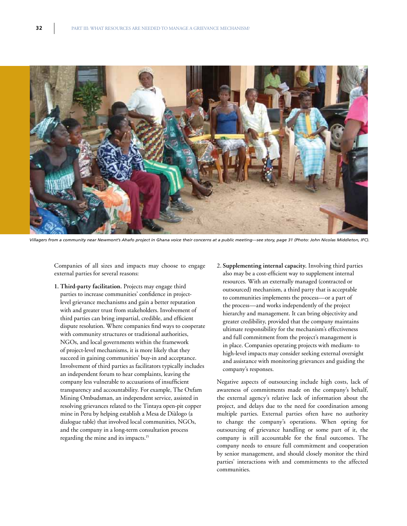

*Villagers from a community near Newmont's Ahafo project in Ghana voice their concerns at a public meeting—see story, page 31 (Photo: John Nicolas Middleton, IFC).*

Companies of all sizes and impacts may choose to engage external parties for several reasons:

- **1. Third-party facilitation.** Projects may engage third parties to increase communities' confidence in projectlevel grievance mechanisms and gain a better reputation with and greater trust from stakeholders. Involvement of third parties can bring impartial, credible, and efficient dispute resolution. Where companies find ways to cooperate with community structures or traditional authorities, NGOs, and local governments within the framework of project-level mechanisms, it is more likely that they succeed in gaining communities' buy-in and acceptance. Involvement of third parties as facilitators typically includes an independent forum to hear complaints, leaving the company less vulnerable to accusations of insufficient transparency and accountability. For example, The Oxfam Mining Ombudsman, an independent service, assisted in resolving grievances related to the Tintaya open-pit copper mine in Peru by helping establish a Mesa de Diàlogo (a dialogue table) that involved local communities, NGOs, and the company in a long-term consultation process regarding the mine and its impacts.15
- 2. **Supplementing internal capacity.** Involving third parties also may be a cost-efficient way to supplement internal resources. With an externally managed (contracted or outsourced) mechanism, a third party that is acceptable to communities implements the process—or a part of the process—and works independently of the project hierarchy and management. It can bring objectivity and greater credibility, provided that the company maintains ultimate responsibility for the mechanism's effectiveness and full commitment from the project's management is in place. Companies operating projects with medium- to high-level impacts may consider seeking external oversight and assistance with monitoring grievances and guiding the company's responses.

Negative aspects of outsourcing include high costs, lack of awareness of commitments made on the company's behalf, the external agency's relative lack of information about the project, and delays due to the need for coordination among multiple parties. External parties often have no authority to change the company's operations. When opting for outsourcing of grievance handling or some part of it, the company is still accountable for the final outcomes. The company needs to ensure full commitment and cooperation by senior management, and should closely monitor the third parties' interactions with and commitments to the affected communities.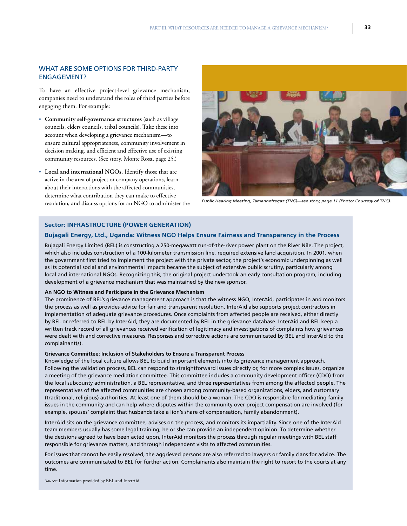# WHAT ARE SOME OPTIONS FOR THIRD-PARTY Engagement?

To have an effective project-level grievance mechanism, companies need to understand the roles of third parties before engaging them. For example:

- • **Community self-governance structures** (such as village councils, elders councils, tribal councils). Take these into account when developing a grievance mechanism—to ensure cultural appropriateness, community involvement in decision making, and efficient and effective use of existing community resources. (See story, Monte Rosa, page 25.)
- • **Local and international NGOs.** Identify those that are active in the area of project or company operations, learn about their interactions with the affected communities, determine what contribution they can make to effective resolution, and discuss options for an NGO to administer the *Public Hearing Meeting, Tamanneftegaz (TNG)—see story, page 11 (Photo: Courtesy of TNG).*



#### **Sector: INFRASTRUCTURE (POWER GENERATION)**

### **Bujagali Energy, Ltd., Uganda: Witness NGO Helps Ensure Fairness and Transparency in the Process**

Bujagali Energy Limited (BEL) is constructing a 250-megawatt run-of-the-river power plant on the River Nile. The project, which also includes construction of a 100-kilometer transmission line, required extensive land acquisition. In 2001, when the government first tried to implement the project with the private sector, the project's economic underpinning as well as its potential social and environmental impacts became the subject of extensive public scrutiny, particularly among local and international NGOs. Recognizing this, the original project undertook an early consultation program, including development of a grievance mechanism that was maintained by the new sponsor.

#### **An NGO to Witness and Participate in the Grievance Mechanism**

The prominence of BEL's grievance management approach is that the witness NGO, InterAid, participates in and monitors the process as well as provides advice for fair and transparent resolution. InterAid also supports project contractors in implementation of adequate grievance procedures. Once complaints from affected people are received, either directly by BEL or referred to BEL by InterAid, they are documented by BEL in the grievance database. InterAid and BEL keep a written track record of all grievances received verification of legitimacy and investigations of complaints how grievances were dealt with and corrective measures. Responses and corrective actions are communicated by BEL and InterAid to the complainant(s).

#### **Grievance Committee: Inclusion of Stakeholders to Ensure a Transparent Process**

Knowledge of the local culture allows BEL to build important elements into its grievance management approach. Following the validation process, BEL can respond to straightforward issues directly or, for more complex issues, organize a meeting of the grievance mediation committee. This committee includes a community development officer (CDO) from the local subcounty administration, a BEL representative, and three representatives from among the affected people. The representatives of the affected communities are chosen among community-based organizations, elders, and customary (traditional, religious) authorities. At least one of them should be a woman. The CDO is responsible for mediating family issues in the community and can help where disputes within the community over project compensation are involved (for example, spouses' complaint that husbands take a lion's share of compensation, family abandonment).

InterAid sits on the grievance committee, advises on the process, and monitors its impartiality. Since one of the InterAid team members usually has some legal training, he or she can provide an independent opinion. To determine whether the decisions agreed to have been acted upon, InterAid monitors the process through regular meetings with BEL staff responsible for grievance matters, and through independent visits to affected communities.

For issues that cannot be easily resolved, the aggrieved persons are also referred to lawyers or family clans for advice. The outcomes are communicated to BEL for further action. Complainants also maintain the right to resort to the courts at any time.

*Source*: Information provided by BEL and InterAid.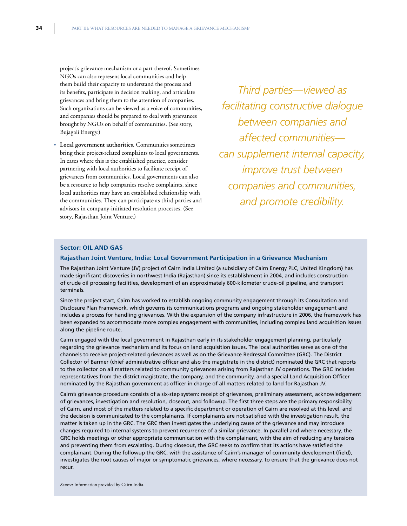project's grievance mechanism or a part thereof. Sometimes NGOs can also represent local communities and help them build their capacity to understand the process and its benefits, participate in decision making, and articulate grievances and bring them to the attention of companies. Such organizations can be viewed as a voice of communities, and companies should be prepared to deal with grievances brought by NGOs on behalf of communities. (See story, Bujagali Energy.)

• **Local government authorities.** Communities sometimes bring their project-related complaints to local governments. In cases where this is the established practice, consider partnering with local authorities to facilitate receipt of grievances from communities. Local governments can also be a resource to help companies resolve complaints, since local authorities may have an established relationship with the communities. They can participate as third parties and advisors in company-initiated resolution processes. (See story, Rajasthan Joint Venture.)

*Third parties—viewed as facilitating constructive dialogue between companies and affected communities can supplement internal capacity, improve trust between companies and communities, and promote credibility.*

## **Sector: OIL AND GAS**

#### **Rajasthan Joint Venture, India: Local Government Participation in a Grievance Mechanism**

The Rajasthan Joint Venture (JV) project of Cairn India Limited (a subsidiary of Cairn Energy PLC, United Kingdom) has made significant discoveries in northwest India (Rajasthan) since its establishment in 2004, and includes construction of crude oil processing facilities, development of an approximately 600-kilometer crude-oil pipeline, and transport terminals.

Since the project start, Cairn has worked to establish ongoing community engagement through its Consultation and Disclosure Plan Framework, which governs its communications programs and ongoing stakeholder engagement and includes a process for handling grievances. With the expansion of the company infrastructure in 2006, the framework has been expanded to accommodate more complex engagement with communities, including complex land acquisition issues along the pipeline route.

Cairn engaged with the local government in Rajasthan early in its stakeholder engagement planning, particularly regarding the grievance mechanism and its focus on land acquisition issues. The local authorities serve as one of the channels to receive project-related grievances as well as on the Grievance Redressal Committee (GRC). The District Collector of Barmer (chief administrative officer and also the magistrate in the district) nominated the GRC that reports to the collector on all matters related to community grievances arising from Rajasthan JV operations. The GRC includes representatives from the district magistrate, the company, and the community, and a special Land Acquisition Officer nominated by the Rajasthan government as officer in charge of all matters related to land for Rajasthan JV.

Cairn's grievance procedure consists of a six-step system: receipt of grievances, preliminary assessment, acknowledgement of grievances, investigation and resolution, closeout, and followup. The first three steps are the primary responsibility of Cairn, and most of the matters related to a specific department or operation of Cairn are resolved at this level, and the decision is communicated to the complainants. If complainants are not satisfied with the investigation result, the matter is taken up in the GRC. The GRC then investigates the underlying cause of the grievance and may introduce changes required to internal systems to prevent recurrence of a similar grievance. In parallel and where necessary, the GRC holds meetings or other appropriate communication with the complainant, with the aim of reducing any tensions and preventing them from escalating. During closeout, the GRC seeks to confirm that its actions have satisfied the complainant. During the followup the GRC, with the assistance of Cairn's manager of community development (field), investigates the root causes of major or symptomatic grievances, where necessary, to ensure that the grievance does not recur.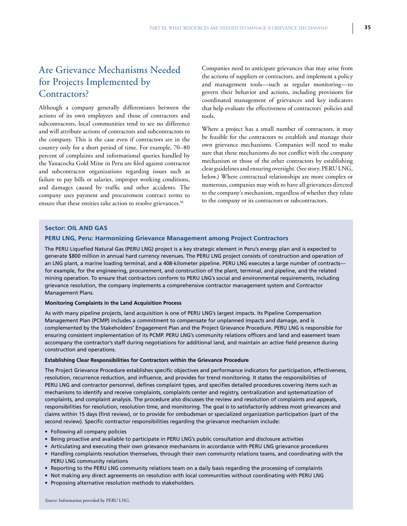# Are Grievance Mechanisms Needed for Projects Implemented by Contractors?

Although a company generally differentiates between the actions of its own employees and those of contractors and subcontractors, local communities tend to see no difference and will attribute actions of contractors and subcontractors to the company. This is the case even if contractors are in the country only for a short period of time. For example, 70–80 percent of complaints and informational queries handled by the Yanacocha Gold Mine in Peru are filed against contractor and subcontractor organizations regarding issues such as failure to pay bills or salaries, improper working conditions, and damages caused by traffic and other accidents. The company uses payment and procurement contract terms to ensure that these entities take action to resolve grievances.<sup>16</sup>

Companies need to anticipate grievances that may arise from the actions of suppliers or contractors, and implement a policy and management tools—such as regular monitoring—to govern their behavior and actions, including provisions for coordinated management of grievances and key indicators that help evaluate the effectiveness of contractors' policies and tools.

Where a project has a small number of contractors, it may be feasible for the contractors to establish and manage their own grievance mechanisms. Companies will need to make sure that these mechanisms do not conflict with the company mechanism or those of the other contractors by establishing clear guidelines and ensuring oversight. (See story, PERU LNG, below.) Where contractual relationships are more complex or numerous, companies may wish to have all grievances directed to the company's mechanism, regardless of whether they relate to the company or its contractors or subcontractors.

#### **Sector: OIL AND GAS**

#### **PERU LNG, Peru: Harmonizing Grievance Management among Project Contractors**

The PERU Liquefied Natural Gas (PERU LNG) project is a key strategic element in Peru's energy plan and is expected to generate \$800 million in annual hard currency revenues. The PERU LNG project consists of construction and operation of an LNG plant, a marine loading terminal, and a 408-kilometer pipeline. PERU LNG executes a large number of contracts for example, for the engineering, procurement, and construction of the plant, terminal, and pipeline, and the related mining operation. To ensure that contractors conform to PERU LNG's social and environmental requirements, including grievance resolution, the company implements a comprehensive contractor management system and Contractor Management Plans.

#### **Monitoring Complaints in the Land Acquisition Process**

As with many pipeline projects, land acquisition is one of PERU LNG's largest impacts. Its Pipeline Compensation Management Plan (PCMP) includes a commitment to compensate for unplanned impacts and damage, and is complemented by the Stakeholders' Engagement Plan and the Project Grievance Procedure. PERU LNG is responsible for ensuring consistent implementation of its PCMP. PERU LNG's community relations officers and land and easement team accompany the contractor's staff during negotiations for additional land, and maintain an active field presence during construction and operations.

#### **Establishing Clear Responsibilities for Contractors within the Grievance Procedure**

The Project Grievance Procedure establishes specific objectives and performance indicators for participation, effectiveness, resolution, recurrence reduction, and influence, and provides for trend monitoring. It states the responsibilities of PERU LNG and contractor personnel, defines complaint types, and specifies detailed procedures covering items such as mechanisms to identify and receive complaints, complaints center and registry, centralization and systematization of complaints, and complaint analysis. The procedure also discusses the review and resolution of complaints and appeals, responsibilities for resolution, resolution time, and monitoring. The goal is to satisfactorily address most grievances and claims within 15 days (first review), or to provide for ombudsman or specialized organization participation (part of the second review). Specific contractor responsibilities regarding the grievance mechanism include:

- Following all company policies
- Being proactive and available to participate in PERU LNG's public consultation and disclosure activities
- Articulating and executing their own grievance mechanisms in accordance with PERU LNG grievance procedures
- Handling complaints resolution themselves, through their own community relations teams, and coordinating with the PERU LNG community relations
- Reporting to the PERU LNG community relations team on a daily basis regarding the processing of complaints
- Not making any direct agreements on resolution with local communities without coordinating with PERU LNG
- Proposing alternative resolution methods to stakeholders.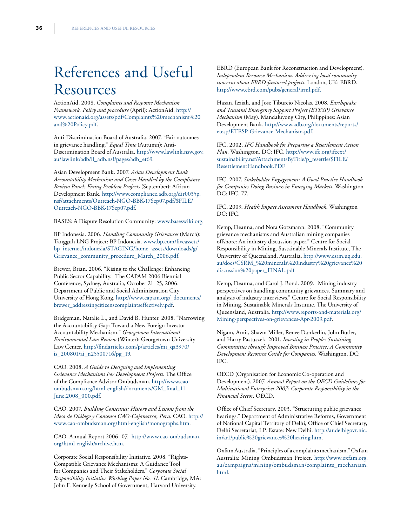# References and Useful Resources

ActionAid. 2008. *Complaints and Response Mechanism Framework. Policy and procedure* (April): ActionAid. http:// www.actionaid.org/assets/pdf/Complaints%20mechanism%20 and%20Policy.pdf.

Anti-Discrimination Board of Australia. 2007. "Fair outcomes in grievance handling." *Equal Time* (Autumn): Anti-Discrimination Board of Australia. http://www.lawlink.nsw.gov. au/lawlink/adb/ll\_adb.nsf/pages/adb\_et69.

Asian Development Bank. 2007. *Asian Development Bank Accountability Mechanism and Cases Handled by the Compliance Review Panel: Fixing Problem Projects* (September): African Development Bank. http://www.compliance.adb.org/dir0035p. nsf/attachments/Outreach-NGO-BBK-17Sep07.pdf/\$FILE/ Outreach-NGO-BBK-17Sep07.pdf.

BASES: A Dispute Resolution Community: www.baseswiki.org.

BP Indonesia. 2006. *Handling Community Grievances* (March): Tangguh LNG Project: BP Indonesia. www.bp.com/liveassets/ bp\_internet/indonesia/STAGING/home\_assets/downloads/g/ Grievance\_community\_procedure\_March\_2006.pdf.

Brewer, Brian. 2006. "Rising to the Challenge: Enhancing Public Sector Capability." The CAPAM 2006 Biennial Conference, Sydney, Australia, October 21–25, 2006. Department of Public and Social Administration City University of Hong Kong. http://www.capam.org/\_documents/ brewer\_addressingcitizenscomplaintseffectively.pdf.

Bridgeman, Natalie L., and David B. Hunter. 2008. "Narrowing the Accountability Gap: Toward a New Foreign Investor Accountability Mechanism." *Georgetown International Environmental Law Review* (Winter): Georgetown University Law Center. http://findarticles.com/p/articles/mi\_qa3970/ is\_200801/ai\_n25500716/pg\_19.

CAO. 2008. *A Guide to Designing and Implementing Grievance Mechanisms For Development Projects*. The Office of the Compliance Advisor Ombudsman. http://www.caoombudsman.org/html-english/documents/GM\_final\_11. June.2008\_000.pdf.

CAO. 2007. *Building Consensus: History and Lessons from the Mesa de Diálogo y Consenso CAO-Cajamarca, Peru*. CAO. http:// www.cao-ombudsman.org/html-english/monographs.htm.

CAO. Annual Report 2006–07. http://www.cao-ombudsman. org/html-english/archive.htm.

Corporate Social Responsibility Initiative. 2008. "Rights-Compatible Grievance Mechanisms: A Guidance Tool for Companies and Their Stakeholders." *Corporate Social Responsibility Initiative Working Paper No. 41*. Cambridge, MA: John F. Kennedy School of Government, Harvard University.

EBRD (European Bank for Reconstruction and Development). *Independent Recourse Mechanism. Addressing local community concerns about EBRD-financed projects*. London, UK: EBRD. http://www.ebrd.com/pubs/general/irml.pdf.

Hasan, Izziah, and Jose Tiburcio Nicolas. 2008. *Earthquake and Tsunami Emergency Support Project (ETESP) Grievance Mechanism* (May). Mandaluyong City, Philippines: Asian Development Bank. http://www.adb.org/documents/reports/ etesp/ETESP-Grievance-Mechanism.pdf.

IFC. 2002. *IFC Handbook for Preparing a Resettlement Action Plan*. Washington, DC: IFC. http://www.ifc.org/ifcext/ sustainability.nsf/AttachmentsByTitle/p\_resettle/\$FILE/ ResettlementHandbook.PDF

IFC. 2007. *Stakeholder Engagement: A Good Practice Handbook for Companies Doing Business in Emerging Markets*. Washington DC: IFC. 77.

IFC. 2009. *Health Impact Assessment Handbook*. Washington DC: IFC.

Kemp, Deanna, and Nora Gotzmann. 2008. "Community grievance mechanisms and Australian mining companies offshore: An industry discussion paper." Centre for Social Responsibility in Mining, Sustainable Minerals Institute, The University of Queensland, Australia. http://www.csrm.uq.edu. au/docs/CSRM\_%20minerals%20industry%20grievance%20 discussion%20paper\_FINAL.pdf

Kemp, Deanna, and Carol J. Bond. 2009. "Mining industry perspectives on handling community grievances. Summary and analysis of industry interviews." Centre for Social Responsibility in Mining, Sustainable Minerals Institute, The University of Queensland, Australia. http://www.reports-and-materials.org/ Mining-perspectives-on-grievances-Apr-2009.pdf.

Nigam, Amit, Shawn Miller, Renee Dankerlin, John Butler, and Harry Pastuszek. 2001. *Investing in People: Sustaining Communities through Improved Business Practice: A Community Development Resource Guide for Companies*. Washington, DC: IFC.

OECD (Organisation for Economic Co-operation and Development). 2007. *Annual Report on the OECD Guidelines for Multinational Enterprises 2007: Corporate Responsibility in the Financial Sector*. OECD.

Office of Chief Secretary. 2003. "Structuring public grievance hearings." Department of Administrative Reforms, Government of National Capital Territory of Delhi, Office of Chief Secretary, Delhi Secretariat, I.P. Estate: New Delhi. http://ar.delhigovt.nic. in/ar1/public%20grievances%20hearing.htm.

Oxfam Australia. "Principles of a complaints mechanism." Oxfam Australia: Mining Ombudsman Project. http://www.oxfam.org. au/campaigns/mining/ombudsman/complaints\_mechanism. html.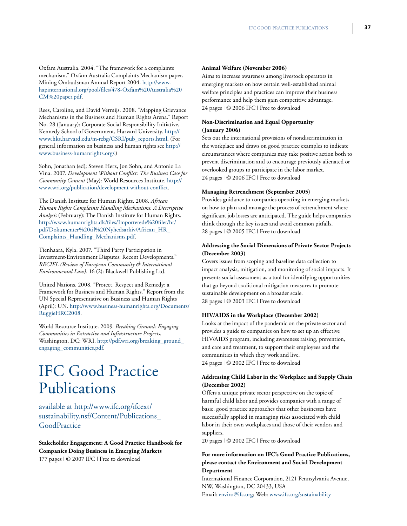Oxfam Australia. 2004. "The framework for a complaints mechanism." Oxfam Australia Complaints Mechanism paper. Mining Ombudsman Annual Report 2004. http://www. hapinternational.org/pool/files/478-Oxfam%20Australia%20 CM%20paper.pdf.

Rees, Caroline, and David Vermijs. 2008. "Mapping Grievance Mechanisms in the Business and Human Rights Arena." Report No. 28 (January): Corporate Social Responsibility Initiative, Kennedy School of Government, Harvard University. http:// www.hks.harvard.edu/m-rcbg/CSRI/pub\_reports.html. (For general information on business and human rights see http:// www.business-humanrights.org/.)

Sohn, Jonathan (ed); Steven Herz, Jon Sohn, and Antonio La Vina. 2007. *Development Without Conflict: The Business Case for Community Consent* (May): World Resources Institute. http:// www.wri.org/publication/development-without-conflict.

The Danish Institute for Human Rights. 2008. *African Human Rights Complaints Handling Mechanisms. A Descriptive Analysis* (February): The Danish Institute for Human Rights. http://www.humanrights.dk/files/Importerede%20filer/hr/ pdf/Dokumenter%20til%20Nyhedsarkiv/African\_HR\_ Complaints\_Handling\_Mechanisms.pdf.

Tienhaara, Kyla. 2007. "Third Party Participation in Investment-Environment Disputes: Recent Developments." *RECIEL (Review of European Community & International Environmental Law)*. 16 (2): Blackwell Publishing Ltd.

United Nations. 2008. "Protect, Respect and Remedy: a Framework for Business and Human Rights." Report from the UN Special Representative on Business and Human Rights (April): UN. http://www.business-humanrights.org/Documents/ RuggieHRC2008.

World Resource Institute. 2009*. Breaking Ground: Engaging Communities in Extractive and Infrastructure Projects*. Washington, DC: WRI. http://pdf.wri.org/breaking\_ground\_ engaging\_communities.pdf.

# IFC Good Practice Publications

available at http://www.ifc.org/ifcext/ sustainability.nsf/Content/Publications\_ **GoodPractice** 

**Stakeholder Engagement: A Good Practice Handbook for Companies Doing Business in Emerging Markets** 177 pages |  $\odot$  2007 IFC | Free to download

#### **Animal Welfare (November 2006)**

Aims to increase awareness among livestock operators in emerging markets on how certain well-established animal welfare principles and practices can improve their business performance and help them gain competitive advantage. 24 pages | © 2006 IFC | Free to download

### **Non-Discrimination and Equal Opportunity (January 2006)**

Sets out the international provisions of nondiscrimination in the workplace and draws on good practice examples to indicate circumstances where companies may take positive action both to prevent discrimination and to encourage previously alienated or overlooked groups to participate in the labor market. 24 pages | © 2006 IFC | Free to download

#### **Managing Retrenchment (September 2005**)

Provides guidance to companies operating in emerging markets on how to plan and manage the process of retrenchment where significant job losses are anticipated. The guide helps companies think through the key issues and avoid common pitfalls. 28 pages | © 2005 IFC | Free to download

## **Addressing the Social Dimensions of Private Sector Projects (December 2003)**

Covers issues from scoping and baseline data collection to impact analysis, mitigation, and monitoring of social impacts. It presents social assessment as a tool for identifying opportunities that go beyond traditional mitigation measures to promote sustainable development on a broader scale. 28 pages | © 2003 IFC | Free to download

#### **HIV/AIDS in the Workplace (December 2002)**

Looks at the impact of the pandemic on the private sector and provides a guide to companies on how to set up an effective HIV/AIDS program, including awareness raising, prevention, and care and treatment, to support their employees and the communities in which they work and live. 24 pages | © 2002 IFC | Free to download

## **Addressing Child Labor in the Workplace and Supply Chain (December 2002)**

Offers a unique private sector perspective on the topic of harmful child labor and provides companies with a range of basic, good practice approaches that other businesses have successfully applied in managing risks associated with child labor in their own workplaces and those of their vendors and suppliers.

20 pages | © 2002 IFC | Free to download

## **For more information on IFC's Good Practice Publications, please contact the Environment and Social Development Department**

International Finance Corporation, 2121 Pennsylvania Avenue, NW, Washington, DC 20433, USA Email: enviro@ifc.org; Web: www.ifc.org/sustainability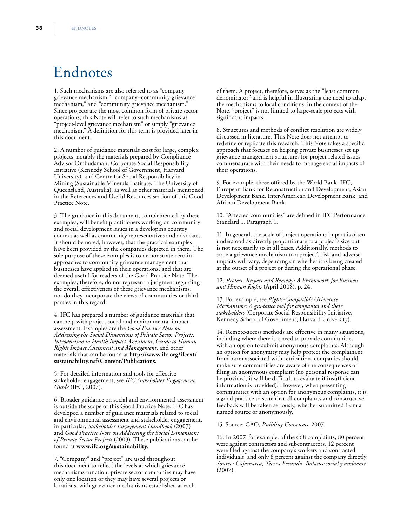# Endnotes

1. Such mechanisms are also referred to as "company grievance mechanism," "company–community grievance mechanism," and "community grievance mechanism." Since projects are the most common form of private sector operations, this Note will refer to such mechanisms as "project-level grievance mechanism" or simply "grievance mechanism." A definition for this term is provided later in this document.

2. A number of guidance materials exist for large, complex projects, notably the materials prepared by Compliance Advisor Ombudsman, Corporate Social Responsibility Initiative (Kennedy School of Government, Harvard University), and Centre for Social Responsibility in Mining (Sustainable Minerals Institute, The University of Queensland, Australia), as well as other materials mentioned in the References and Useful Resources section of this Good Practice Note.

3. The guidance in this document, complemented by these examples, will benefit practitioners working on community and social development issues in a developing country context as well as community representatives and advocates. It should be noted, however, that the practical examples have been provided by the companies depicted in them. The sole purpose of these examples is to demonstrate certain approaches to community grievance management that businesses have applied in their operations, and that are deemed useful for readers of the Good Practice Note. The examples, therefore, do not represent a judgment regarding the overall effectiveness of these grievance mechanisms, nor do they incorporate the views of communities or third parties in this regard.

4. IFC has prepared a number of guidance materials that can help with project social and environmental impact assessment. Examples are the *Good Practice Note on Addressing the Social Dimensions of Private Sector Projects*, *Introduction to Health Impact Assessment*, *Guide to Human Rights Impact Assessment and Management*, and other materials that can be found at **http://www.ifc.org/ifcext/ sustainability.nsf/Content/Publications.**

5. For detailed information and tools for effective stakeholder engagement, see *IFC Stakeholder Engagement Guide* (IFC, 2007).

6. Broader guidance on social and environmental assessment is outside the scope of this Good Practice Note. IFC has developed a number of guidance materials related to social and environmental assessment and stakeholder engagement, in particular, *Stakeholder Engagement Handbook* (2007) and *Good Practice Note on Addressing the Social Dimensions of Private Sector Projects* (2003). These publications can be found at **www.ifc.org/sustainability**.

7. "Company" and "project" are used throughout this document to reflect the levels at which grievance mechanisms function; private sector companies may have only one location or they may have several projects or locations, with grievance mechanisms established at each

of them. A project, therefore, serves as the "least common denominator" and is helpful in illustrating the need to adapt the mechanisms to local conditions; in the context of the Note, "project" is not limited to large-scale projects with significant impacts.

8. Structures and methods of conflict resolution are widely discussed in literature. This Note does not attempt to redefine or replicate this research. This Note takes a specific approach that focuses on helping private businesses set up grievance management structures for project-related issues commensurate with their needs to manage social impacts of their operations.

9. For example, those offered by the World Bank, IFC, European Bank for Reconstruction and Development, Asian Development Bank, Inter-American Development Bank, and African Development Bank.

10. "Affected communities" are defined in IFC Performance Standard 1, Paragraph 1.

11. In general, the scale of project operations impact is often understood as directly proportionate to a project's size but is not necessarily so in all cases. Additionally, methods to scale a grievance mechanism to a project's risk and adverse impacts will vary, depending on whether it is being created at the outset of a project or during the operational phase.

12. *Protect, Respect and Remedy: A Framework for Business and Human Rights* (April 2008), p. 24.

13. For example, see *Rights-Compatible Grievance Mechanisms: A guidance tool for companies and their stakeholders* (Corporate Social Responsibility Initiative, Kennedy School of Government, Harvard University).

14. Remote-access methods are effective in many situations, including where there is a need to provide communities with an option to submit anonymous complaints. Although an option for anonymity may help protect the complainant from harm associated with retribution, companies should make sure communities are aware of the consequences of filing an anonymous complaint (no personal response can be provided, it will be difficult to evaluate if insufficient information is provided). However, when presenting communities with an option for anonymous complaints, it is a good practice to state that all complaints and constructive feedback will be taken seriously, whether submitted from a named source or anonymously.

15. Source: CAO, *Building Consensus*, 2007.

16. In 2007, for example, of the 668 complaints, 80 percent were against contractors and subcontractors, 12 percent were filed against the company's workers and contracted individuals, and only 8 percent against the company directly. *Source: Cajamarca, Tierra Fecunda. Balance social y ambiente*  (2007).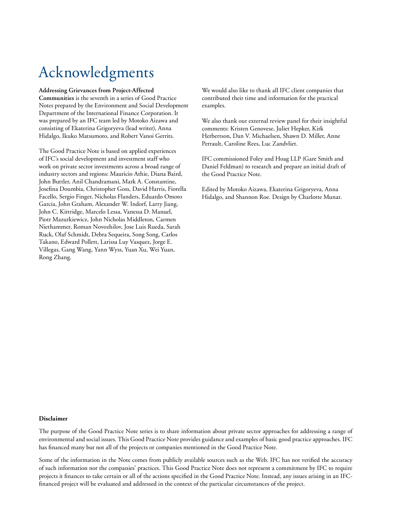# Acknowledgments

### **Addressing Grievances from Project-Affected**

**Communities** is the seventh in a series of Good Practice Notes prepared by the Environment and Social Development Department of the International Finance Corporation. It was prepared by an IFC team led by Motoko Aizawa and consisting of Ekaterina Grigoryeva (lead writer), Anna Hidalgo, Ikuko Matsumoto, and Robert Vanoi Gerrits.

The Good Practice Note is based on applied experiences of IFC's social development and investment staff who work on private sector investments across a broad range of industry sectors and regions: Mauricio Athie, Diana Baird, John Buttler, Anil Chandramani, Mark A. Constantine, Josefina Doumbia, Christopher Goss, David Harris, Fiorella Facello, Sergio Finger, Nicholas Flanders, Eduardo Omoto Garcia, John Graham, Alexander W. Indorf, Larry Jiang, John C. Kittridge, Marcelo Lessa, Vanessa D. Manuel, Piotr Mazurkiewicz, John Nicholas Middleton, Carmen Niethammer, Roman Novozhilov, Jose Luis Rueda, Sarah Ruck, Olaf Schmidt, Debra Sequeira, Song Song, Carlos Takano, Edward Pollett, Larissa Luy Vasquez, Jorge E. Villegas, Gang Wang, Yann Wyss, Yuan Xu, Wei Yuan, Rong Zhang.

We would also like to thank all IFC client companies that contributed their time and information for the practical examples.

We also thank our external review panel for their insightful comments: Kristen Genovese, Juliet Hepker, Kirk Herbertson, Dan V. Michaelsen, Shawn D. Miller, Anne Perrault, Caroline Rees, Luc Zandvliet.

IFC commissioned Foley and Hoag LLP (Gare Smith and Daniel Feldman) to research and prepare an initial draft of the Good Practice Note.

Edited by Motoko Aizawa, Ekaterina Grigoryeva, Anna Hidalgo, and Shannon Roe. Design by Charlotte Munar.

#### **Disclaimer**

The purpose of the Good Practice Note series is to share information about private sector approaches for addressing a range of environmental and social issues. This Good Practice Note provides guidance and examples of basic good practice approaches. IFC has financed many but not all of the projects or companies mentioned in the Good Practice Note.

Some of the information in the Note comes from publicly available sources such as the Web. IFC has not verified the accuracy of such information nor the companies' practices. This Good Practice Note does not represent a commitment by IFC to require projects it finances to take certain or all of the actions specified in the Good Practice Note. Instead, any issues arising in an IFCfinanced project will be evaluated and addressed in the context of the particular circumstances of the project.